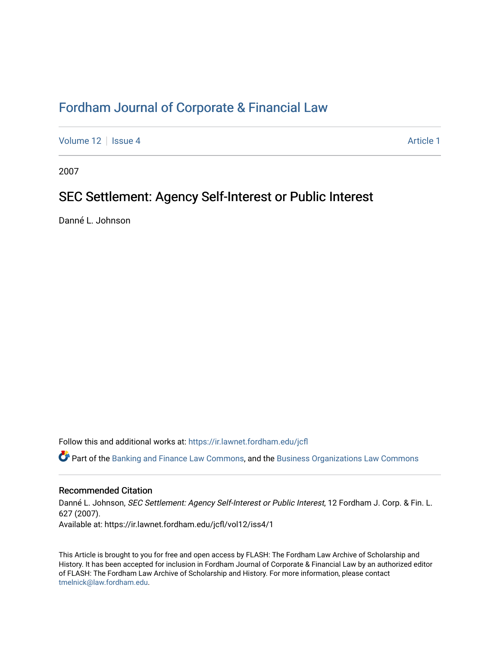# [Fordham Journal of Corporate & Financial Law](https://ir.lawnet.fordham.edu/jcfl)

[Volume 12](https://ir.lawnet.fordham.edu/jcfl/vol12) | [Issue 4](https://ir.lawnet.fordham.edu/jcfl/vol12/iss4) Article 1

2007

# SEC Settlement: Agency Self-Interest or Public Interest

Danné L. Johnson

Follow this and additional works at: [https://ir.lawnet.fordham.edu/jcfl](https://ir.lawnet.fordham.edu/jcfl?utm_source=ir.lawnet.fordham.edu%2Fjcfl%2Fvol12%2Fiss4%2F1&utm_medium=PDF&utm_campaign=PDFCoverPages) 

Part of the [Banking and Finance Law Commons,](http://network.bepress.com/hgg/discipline/833?utm_source=ir.lawnet.fordham.edu%2Fjcfl%2Fvol12%2Fiss4%2F1&utm_medium=PDF&utm_campaign=PDFCoverPages) and the [Business Organizations Law Commons](http://network.bepress.com/hgg/discipline/900?utm_source=ir.lawnet.fordham.edu%2Fjcfl%2Fvol12%2Fiss4%2F1&utm_medium=PDF&utm_campaign=PDFCoverPages) 

# Recommended Citation

Danné L. Johnson, SEC Settlement: Agency Self-Interest or Public Interest, 12 Fordham J. Corp. & Fin. L. 627 (2007). Available at: https://ir.lawnet.fordham.edu/jcfl/vol12/iss4/1

This Article is brought to you for free and open access by FLASH: The Fordham Law Archive of Scholarship and History. It has been accepted for inclusion in Fordham Journal of Corporate & Financial Law by an authorized editor of FLASH: The Fordham Law Archive of Scholarship and History. For more information, please contact [tmelnick@law.fordham.edu](mailto:tmelnick@law.fordham.edu).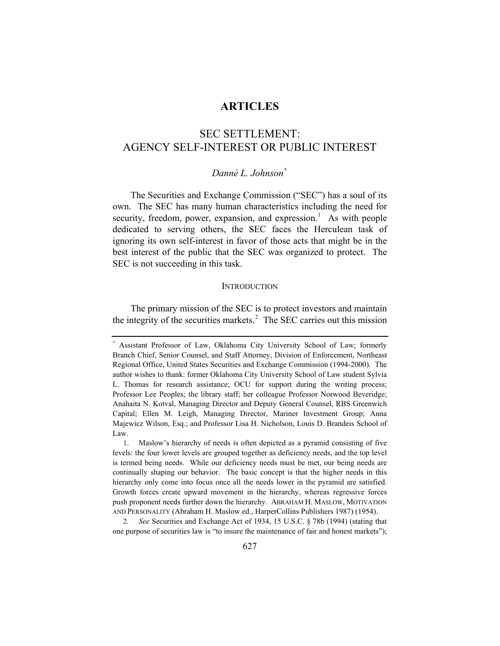# **ARTICLES**

# SEC SETTLEMENT: AGENCY SELF-INTEREST OR PUBLIC INTEREST

# *Danné L. Johnson*[∗](#page-1-0)

The Securities and Exchange Commission ("SEC") has a soul of its own. The SEC has many human characteristics including the need for security, freedom, power, expansion, and expression.<sup>[1](#page-1-1)</sup> As with people dedicated to serving others, the SEC faces the Herculean task of ignoring its own self-interest in favor of those acts that might be in the best interest of the public that the SEC was organized to protect. The SEC is not succeeding in this task.

#### **INTRODUCTION**

The primary mission of the SEC is to protect investors and maintain the integrity of the securities markets.<sup>[2](#page-1-2)</sup> The SEC carries out this mission

<span id="page-1-2"></span>2*. See* Securities and Exchange Act of 1934, 15 U.S.C. § 78b (1994) (stating that one purpose of securities law is "to insure the maintenance of fair and honest markets");

<span id="page-1-0"></span><sup>∗</sup> Assistant Professor of Law, Oklahoma City University School of Law; formerly Branch Chief, Senior Counsel, and Staff Attorney, Division of Enforcement, Northeast Regional Office, United States Securities and Exchange Commission (1994-2000). The author wishes to thank: former Oklahoma City University School of Law student Sylvia L. Thomas for research assistance; OCU for support during the writing process; Professor Lee Peoples; the library staff; her colleague Professor Norwood Beveridge; Anahaita N. Kotval, Managing Director and Deputy General Counsel, RBS Greenwich Capital; Ellen M. Leigh, Managing Director, Mariner Investment Group; Anna Majewicz Wilson, Esq.; and Professor Lisa H. Nicholson, Louis D. Brandeis School of Law.

<span id="page-1-1"></span><sup>1.</sup> Maslow's hierarchy of needs is often depicted as a pyramid consisting of five levels: the four lower levels are grouped together as deficiency needs, and the top level is termed being needs. While our deficiency needs must be met, our being needs are continually shaping our behavior. The basic concept is that the higher needs in this hierarchy only come into focus once all the needs lower in the pyramid are satisfied. Growth forces create upward movement in the hierarchy, whereas regressive forces push proponent needs further down the hierarchy. ABRAHAM H. MASLOW, MOTIVATION AND PERSONALITY (Abraham H. Maslow ed., HarperCollins Publishers 1987) (1954).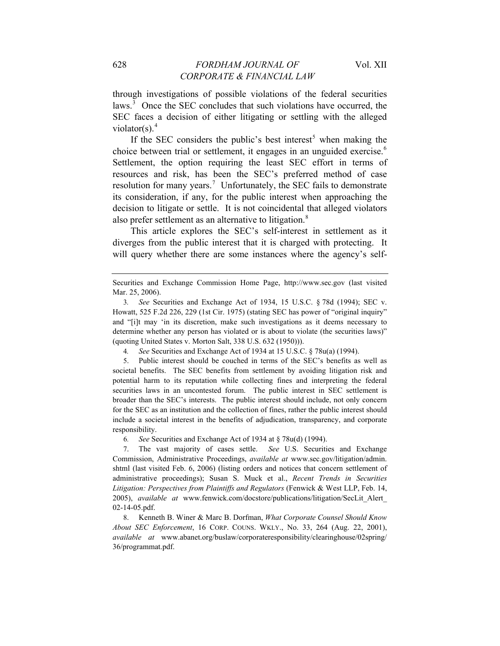through investigations of possible violations of the federal securities laws.<sup>[3](#page-2-0)</sup> Once the SEC concludes that such violations have occurred, the SEC faces a decision of either litigating or settling with the alleged violator(s). $4$ 

If the SEC considers the public's best interest<sup>[5](#page-2-2)</sup> when making the choice between trial or settlement, it engages in an unguided exercise.<sup>[6](#page-2-3)</sup> Settlement, the option requiring the least SEC effort in terms of resources and risk, has been the SEC's preferred method of case resolution for many years.<sup>[7](#page-2-4)</sup> Unfortunately, the SEC fails to demonstrate its consideration, if any, for the public interest when approaching the decision to litigate or settle. It is not coincidental that alleged violators also prefer settlement as an alternative to litigation.<sup>[8](#page-2-5)</sup>

This article explores the SEC's self-interest in settlement as it diverges from the public interest that it is charged with protecting. It will query whether there are some instances where the agency's self-

<span id="page-2-2"></span><span id="page-2-1"></span> 5. Public interest should be couched in terms of the SEC's benefits as well as societal benefits. The SEC benefits from settlement by avoiding litigation risk and potential harm to its reputation while collecting fines and interpreting the federal securities laws in an uncontested forum. The public interest in SEC settlement is broader than the SEC's interests. The public interest should include, not only concern for the SEC as an institution and the collection of fines, rather the public interest should include a societal interest in the benefits of adjudication, transparency, and corporate responsibility.

6*. See* Securities and Exchange Act of 1934 at § 78u(d) (1994).

<span id="page-2-4"></span><span id="page-2-3"></span>7. The vast majority of cases settle. *See* U.S. Securities and Exchange Commission, Administrative Proceedings, *available at* www.sec.gov/litigation/admin. shtml (last visited Feb. 6, 2006) (listing orders and notices that concern settlement of administrative proceedings); Susan S. Muck et al., *Recent Trends in Securities Litigation: Perspectives from Plaintiffs and Regulators* (Fenwick & West LLP, Feb. 14, 2005), *available at* www.fenwick.com/docstore/publications/litigation/SecLit\_Alert\_ 02-14-05.pdf.

<span id="page-2-5"></span>8. Kenneth B. Winer & Marc B. Dorfman, *What Corporate Counsel Should Know About SEC Enforcement*, 16 CORP. COUNS. WKLY., No. 33, 264 (Aug. 22, 2001), *available at* www.abanet.org/buslaw/corporateresponsibility/clearinghouse/02spring/ 36/programmat.pdf.

Securities and Exchange Commission Home Page, http://www.sec.gov (last visited Mar. 25, 2006).

<span id="page-2-0"></span><sup>3</sup>*. See* Securities and Exchange Act of 1934, 15 U.S.C. § 78d (1994); SEC v. Howatt, 525 F.2d 226, 229 (1st Cir. 1975) (stating SEC has power of "original inquiry" and "[i]t may 'in its discretion, make such investigations as it deems necessary to determine whether any person has violated or is about to violate (the securities laws)" (quoting United States v. Morton Salt, 338 U.S. 632 (1950))).

<sup>4</sup>*. See* Securities and Exchange Act of 1934 at 15 U.S.C. § 78u(a) (1994).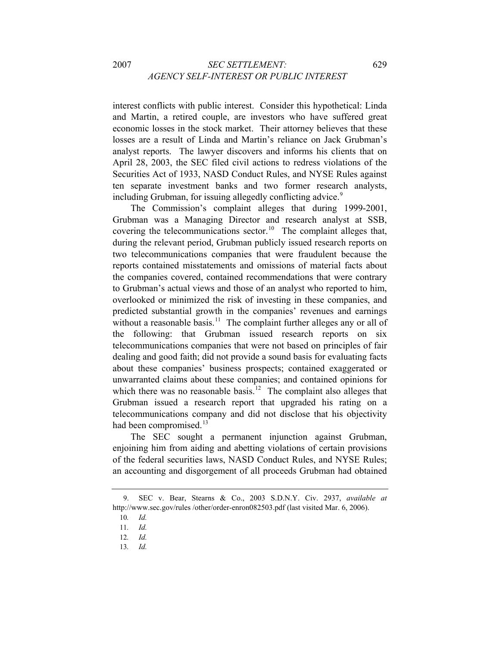interest conflicts with public interest. Consider this hypothetical: Linda and Martin, a retired couple, are investors who have suffered great economic losses in the stock market. Their attorney believes that these losses are a result of Linda and Martin's reliance on Jack Grubman's analyst reports. The lawyer discovers and informs his clients that on April 28, 2003, the SEC filed civil actions to redress violations of the Securities Act of 1933, NASD Conduct Rules, and NYSE Rules against ten separate investment banks and two former research analysts, including Grubman, for issuing allegedly conflicting advice.<sup>[9](#page-3-0)</sup>

The Commission's complaint alleges that during 1999-2001, Grubman was a Managing Director and research analyst at SSB, covering the telecommunications sector.<sup>[10](#page-3-1)</sup> The complaint alleges that, during the relevant period, Grubman publicly issued research reports on two telecommunications companies that were fraudulent because the reports contained misstatements and omissions of material facts about the companies covered, contained recommendations that were contrary to Grubman's actual views and those of an analyst who reported to him, overlooked or minimized the risk of investing in these companies, and predicted substantial growth in the companies' revenues and earnings without a reasonable basis.<sup>[11](#page-3-2)</sup> The complaint further alleges any or all of the following: that Grubman issued research reports on six telecommunications companies that were not based on principles of fair dealing and good faith; did not provide a sound basis for evaluating facts about these companies' business prospects; contained exaggerated or unwarranted claims about these companies; and contained opinions for which there was no reasonable basis.<sup>[12](#page-3-3)</sup> The complaint also alleges that Grubman issued a research report that upgraded his rating on a telecommunications company and did not disclose that his objectivity had been compromised.<sup>[13](#page-3-4)</sup>

The SEC sought a permanent injunction against Grubman, enjoining him from aiding and abetting violations of certain provisions of the federal securities laws, NASD Conduct Rules, and NYSE Rules; an accounting and disgorgement of all proceeds Grubman had obtained

<span id="page-3-3"></span><span id="page-3-2"></span><span id="page-3-1"></span><span id="page-3-0"></span><sup>9.</sup> SEC v. Bear, Stearns & Co., 2003 S.D.N.Y. Civ. 2937, *available at* http://www.sec.gov/rules /other/order-enron082503.pdf (last visited Mar. 6, 2006).

<sup>10</sup>*. Id.*

<sup>11</sup>*. Id.*

<sup>12</sup>*. Id.*

<span id="page-3-4"></span><sup>13</sup>*. Id.*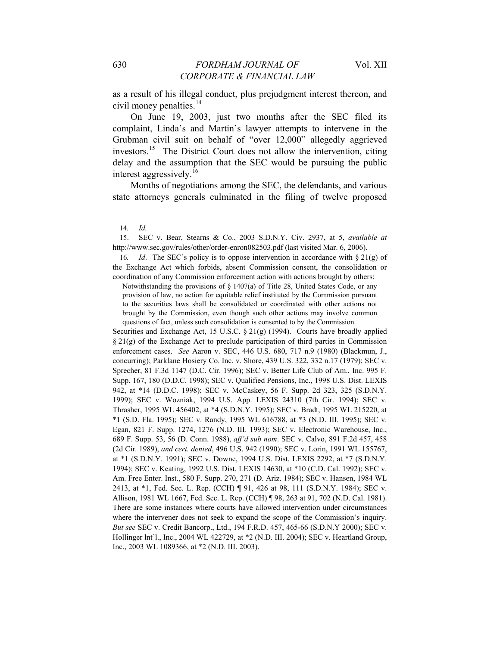as a result of his illegal conduct, plus prejudgment interest thereon, and civil money penalties. $14$ 

On June 19, 2003, just two months after the SEC filed its complaint, Linda's and Martin's lawyer attempts to intervene in the Grubman civil suit on behalf of "over 12,000" allegedly aggrieved investors.<sup>[15](#page-4-1)</sup> The District Court does not allow the intervention, citing delay and the assumption that the SEC would be pursuing the public interest aggressively.<sup>[16](#page-4-2)</sup>

Months of negotiations among the SEC, the defendants, and various state attorneys generals culminated in the filing of twelve proposed

<span id="page-4-2"></span>16*. Id.* The SEC's policy is to oppose intervention in accordance with  $\S 21(g)$  of the Exchange Act which forbids, absent Commission consent, the consolidation or coordination of any Commission enforcement action with actions brought by others:

Notwithstanding the provisions of  $\S$  1407(a) of Title 28, United States Code, or any provision of law, no action for equitable relief instituted by the Commission pursuant to the securities laws shall be consolidated or coordinated with other actions not brought by the Commission, even though such other actions may involve common questions of fact, unless such consolidation is consented to by the Commission.

Securities and Exchange Act, 15 U.S.C. § 21(g) (1994). Courts have broadly applied § 21(g) of the Exchange Act to preclude participation of third parties in Commission enforcement cases. *See* Aaron v. SEC, 446 U.S. 680, 717 n.9 (1980) (Blackmun, J., concurring); Parklane Hosiery Co. Inc. v. Shore, 439 U.S. 322, 332 n.17 (1979); SEC v. Sprecher, 81 F.3d 1147 (D.C. Cir. 1996); SEC v. Better Life Club of Am., Inc. 995 F. Supp. 167, 180 (D.D.C. 1998); SEC v. Qualified Pensions, Inc., 1998 U.S. Dist. LEXIS 942, at \*14 (D.D.C. 1998); SEC v. McCaskey, 56 F. Supp. 2d 323, 325 (S.D.N.Y. 1999); SEC v. Wozniak, 1994 U.S. App. LEXIS 24310 (7th Cir. 1994); SEC v. Thrasher, 1995 WL 456402, at \*4 (S.D.N.Y. 1995); SEC v. Bradt, 1995 WL 215220, at \*1 (S.D. Fla. 1995); SEC v. Randy, 1995 WL 616788, at \*3 (N.D. III. 1995); SEC v. Egan, 821 F. Supp. 1274, 1276 (N.D. III. 1993); SEC v. Electronic Warehouse, Inc., 689 F. Supp. 53, 56 (D. Conn. 1988), *aff'd sub nom*. SEC v. Calvo, 891 F.2d 457, 458 (2d Cir. 1989), *and cert. denied*, 496 U.S. 942 (1990); SEC v. Lorin, 1991 WL 155767, at \*1 (S.D.N.Y. 1991); SEC v. Downe, 1994 U.S. Dist. LEXIS 2292, at \*7 (S.D.N.Y. 1994); SEC v. Keating, 1992 U.S. Dist. LEXIS 14630, at \*10 (C.D. Cal. 1992); SEC v. Am. Free Enter. Inst., 580 F. Supp. 270, 271 (D. Ariz. 1984); SEC v. Hansen, 1984 WL 2413, at \*1, Fed. Sec. L. Rep. (CCH) ¶ 91, 426 at 98, 111 (S.D.N.Y. 1984); SEC v. Allison, 1981 WL 1667, Fed. Sec. L. Rep. (CCH) ¶ 98, 263 at 91, 702 (N.D. Cal. 1981). There are some instances where courts have allowed intervention under circumstances where the intervener does not seek to expand the scope of the Commission's inquiry. *But see* SEC v. Credit Bancorp., Ltd., 194 F.R.D. 457, 465-66 (S.D.N.Y 2000); SEC v. Hollinger lnt'l., Inc., 2004 WL 422729, at \*2 (N.D. III. 2004); SEC v. Heartland Group, Inc., 2003 WL 1089366, at \*2 (N.D. III. 2003).

<sup>14</sup>*. Id.*

<span id="page-4-1"></span><span id="page-4-0"></span><sup>15.</sup> SEC v. Bear, Stearns & Co., 2003 S.D.N.Y. Civ. 2937, at 5, *available at* http://www.sec.gov/rules/other/order-enron082503.pdf (last visited Mar. 6, 2006).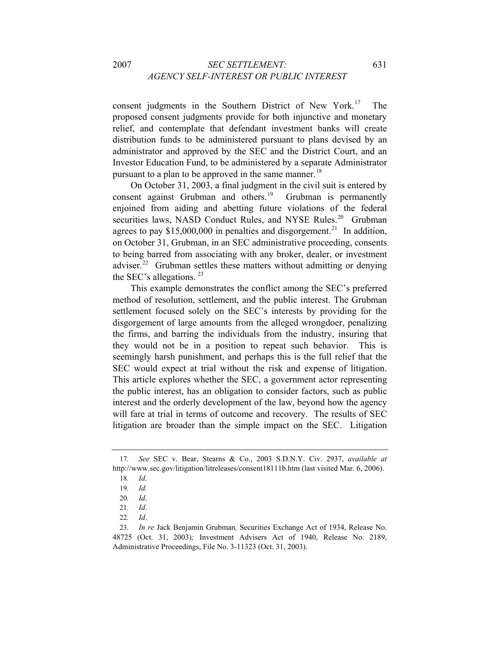consent judgments in the Southern District of New York.<sup>[17](#page-5-0)</sup> The proposed consent judgments provide for both injunctive and monetary relief, and contemplate that defendant investment banks will create distribution funds to be administered pursuant to plans devised by an administrator and approved by the SEC and the District Court, and an Investor Education Fund, to be administered by a separate Administrator pursuant to a plan to be approved in the same manner.<sup>[18](#page-5-1)</sup>

On October 31, 2003, a final judgment in the civil suit is entered by consent against Grubman and others.<sup>[19](#page-5-2)</sup> Grubman is permanently enjoined from aiding and abetting future violations of the federal securities laws, NASD Conduct Rules, and NYSE Rules.<sup>[20](#page-5-3)</sup> Grubman agrees to pay  $$15,000,000$  in penalties and disgorgement.<sup>[21](#page-5-4)</sup> In addition, on October 31, Grubman, in an SEC administrative proceeding, consents to being barred from associating with any broker, dealer, or investment adviser.<sup>[22](#page-5-5)</sup> Grubman settles these matters without admitting or denying the SEC's allegations.  $23$ 

This example demonstrates the conflict among the SEC's preferred method of resolution, settlement, and the public interest. The Grubman settlement focused solely on the SEC's interests by providing for the disgorgement of large amounts from the alleged wrongdoer, penalizing the firms, and barring the individuals from the industry, insuring that they would not be in a position to repeat such behavior. This is seemingly harsh punishment, and perhaps this is the full relief that the SEC would expect at trial without the risk and expense of litigation. This article explores whether the SEC, a government actor representing the public interest, has an obligation to consider factors, such as public interest and the orderly development of the law, beyond how the agency will fare at trial in terms of outcome and recovery. The results of SEC litigation are broader than the simple impact on the SEC. Litigation

<span id="page-5-2"></span><span id="page-5-1"></span><span id="page-5-0"></span><sup>17</sup>*. See* SEC v. Bear, Stearns & Co., 2003 S.D.N.Y. Civ. 2937, *available at* http://www.sec.gov/litigation/litreleases/consent18111b.htm (last visited Mar. 6, 2006).

<sup>18</sup>*. Id*.

<sup>19</sup>*. Id.*

<sup>20</sup>*. Id*.

<sup>21</sup>*. Id*.

<sup>22</sup>*. Id*.

<span id="page-5-6"></span><span id="page-5-5"></span><span id="page-5-4"></span><span id="page-5-3"></span><sup>23</sup>*. In re* Jack Benjamin Grubman*,* Securities Exchange Act of 1934, Release No. 48725 (Oct. 31, 2003)*;* Investment Advisers Act of 1940, Release No. 2189, Administrative Proceedings, File No. 3-11323 (Oct. 31, 2003).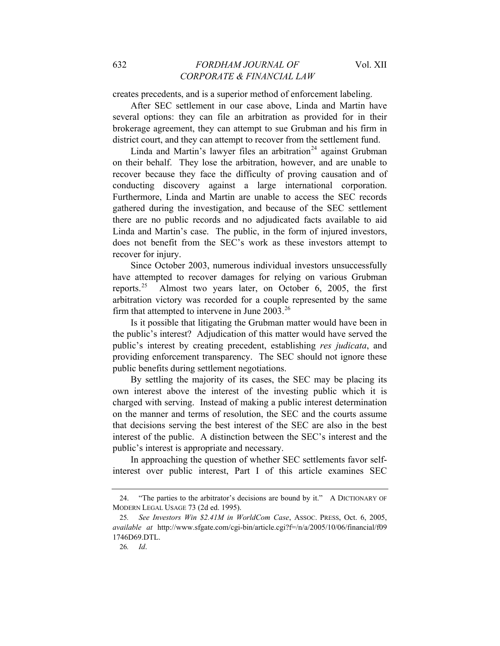creates precedents, and is a superior method of enforcement labeling.

After SEC settlement in our case above, Linda and Martin have several options: they can file an arbitration as provided for in their brokerage agreement, they can attempt to sue Grubman and his firm in district court, and they can attempt to recover from the settlement fund.

Linda and Martin's lawyer files an arbitration<sup>[24](#page-6-0)</sup> against Grubman on their behalf. They lose the arbitration, however, and are unable to recover because they face the difficulty of proving causation and of conducting discovery against a large international corporation. Furthermore, Linda and Martin are unable to access the SEC records gathered during the investigation, and because of the SEC settlement there are no public records and no adjudicated facts available to aid Linda and Martin's case. The public, in the form of injured investors, does not benefit from the SEC's work as these investors attempt to recover for injury.

Since October 2003, numerous individual investors unsuccessfully have attempted to recover damages for relying on various Grubman reports.<sup>[25](#page-6-1)</sup> Almost two years later, on October 6, 2005, the first arbitration victory was recorded for a couple represented by the same firm that attempted to intervene in June 2003.<sup>[26](#page-6-2)</sup>

Is it possible that litigating the Grubman matter would have been in the public's interest? Adjudication of this matter would have served the public's interest by creating precedent, establishing *res judicata*, and providing enforcement transparency. The SEC should not ignore these public benefits during settlement negotiations.

By settling the majority of its cases, the SEC may be placing its own interest above the interest of the investing public which it is charged with serving. Instead of making a public interest determination on the manner and terms of resolution, the SEC and the courts assume that decisions serving the best interest of the SEC are also in the best interest of the public. A distinction between the SEC's interest and the public's interest is appropriate and necessary.

In approaching the question of whether SEC settlements favor selfinterest over public interest, Part I of this article examines SEC

<span id="page-6-0"></span><sup>24. &</sup>quot;The parties to the arbitrator's decisions are bound by it." A DICTIONARY OF MODERN LEGAL USAGE 73 (2d ed. 1995).

<span id="page-6-2"></span><span id="page-6-1"></span><sup>25</sup>*. See Investors Win \$2.41M in WorldCom Case*, ASSOC. PRESS, Oct. 6, 2005, *available at* http://www.sfgate.com/cgi-bin/article.cgi?f=/n/a/2005/10/06/financial/f09 1746D69.DTL.

<sup>26</sup>*. Id*.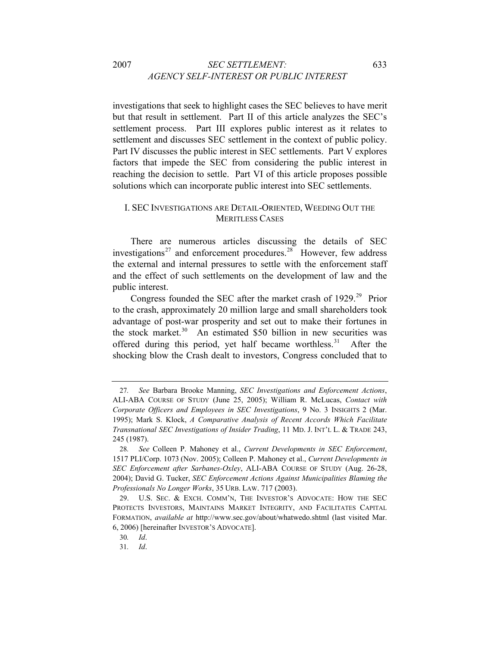investigations that seek to highlight cases the SEC believes to have merit but that result in settlement. Part II of this article analyzes the SEC's settlement process. Part III explores public interest as it relates to settlement and discusses SEC settlement in the context of public policy. Part IV discusses the public interest in SEC settlements. Part V explores factors that impede the SEC from considering the public interest in reaching the decision to settle. Part VI of this article proposes possible solutions which can incorporate public interest into SEC settlements.

#### I. SEC INVESTIGATIONS ARE DETAIL-ORIENTED, WEEDING OUT THE MERITLESS CASES

There are numerous articles discussing the details of SEC investigations<sup>[27](#page-7-0)</sup> and enforcement procedures.<sup>[28](#page-7-1)</sup> However, few address the external and internal pressures to settle with the enforcement staff and the effect of such settlements on the development of law and the public interest.

Congress founded the SEC after the market crash of  $1929$  $1929$ .<sup>29</sup> Prior to the crash, approximately 20 million large and small shareholders took advantage of post-war prosperity and set out to make their fortunes in the stock market.<sup>[30](#page-7-3)</sup> An estimated \$50 billion in new securities was offered during this period, yet half became worthless.<sup>[31](#page-7-4)</sup> After the shocking blow the Crash dealt to investors, Congress concluded that to

<span id="page-7-0"></span><sup>27</sup>*. See* Barbara Brooke Manning, *SEC Investigations and Enforcement Actions*, ALI-ABA COURSE OF STUDY (June 25, 2005); William R. McLucas, *Contact with Corporate Officers and Employees in SEC Investigations*, 9 No. 3 INSIGHTS 2 (Mar. 1995); Mark S. Klock, *A Comparative Analysis of Recent Accords Which Facilitate Transnational SEC Investigations of Insider Trading*, 11 MD. J. INT'L L. & TRADE 243, 245 (1987).

<span id="page-7-1"></span><sup>28</sup>*. See* Colleen P. Mahoney et al., *Current Developments in SEC Enforcement*, 1517 PLI/Corp. 1073 (Nov. 2005); Colleen P. Mahoney et al., *Current Developments in SEC Enforcement after Sarbanes-Oxley*, ALI-ABA COURSE OF STUDY (Aug. 26-28, 2004); David G. Tucker, *SEC Enforcement Actions Against Municipalities Blaming the Professionals No Longer Works*, 35 URB. LAW. 717 (2003).

<span id="page-7-3"></span><span id="page-7-2"></span><sup>29.</sup> U.S. SEC. & EXCH. COMM'N, THE INVESTOR'S ADVOCATE: HOW THE SEC PROTECTS INVESTORS, MAINTAINS MARKET INTEGRITY, AND FACILITATES CAPITAL FORMATION, *available at* http://www.sec.gov/about/whatwedo.shtml (last visited Mar. 6, 2006) [hereinafter INVESTOR'S ADVOCATE].

<span id="page-7-4"></span><sup>30</sup>*. Id*.

<sup>31</sup>*. Id*.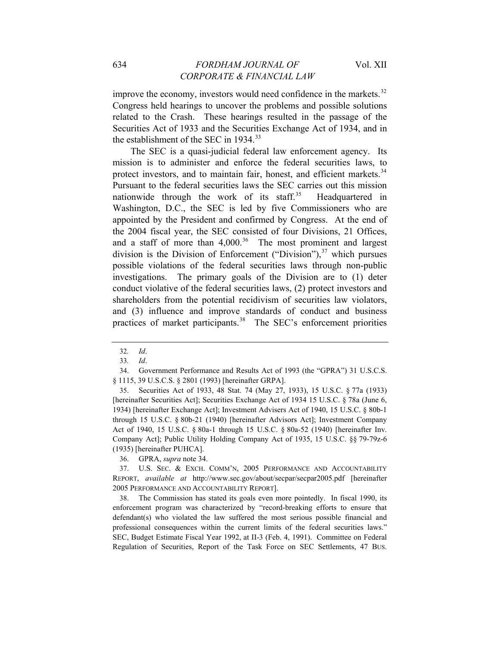improve the economy, investors would need confidence in the markets.<sup>[32](#page-8-0)</sup> Congress held hearings to uncover the problems and possible solutions related to the Crash. These hearings resulted in the passage of the Securities Act of 1933 and the Securities Exchange Act of 1934, and in the establishment of the SEC in 1934.<sup>[33](#page-8-1)</sup>

The SEC is a quasi-judicial federal law enforcement agency. Its mission is to administer and enforce the federal securities laws, to protect investors, and to maintain fair, honest, and efficient markets.<sup>[34](#page-8-2)</sup> Pursuant to the federal securities laws the SEC carries out this mission nationwide through the work of its staff. $35$  Headquartered in Washington, D.C., the SEC is led by five Commissioners who are appointed by the President and confirmed by Congress. At the end of the 2004 fiscal year, the SEC consisted of four Divisions, 21 Offices, and a staff of more than  $4,000^{36}$  $4,000^{36}$  $4,000^{36}$  The most prominent and largest division is the Division of Enforcement ("Division"),  $37$  which pursues possible violations of the federal securities laws through non-public investigations. The primary goals of the Division are to (1) deter conduct violative of the federal securities laws, (2) protect investors and shareholders from the potential recidivism of securities law violators, and (3) influence and improve standards of conduct and business practices of market participants.<sup>[38](#page-8-6)</sup> The SEC's enforcement priorities

<span id="page-8-3"></span>35. Securities Act of 1933, 48 Stat. 74 (May 27, 1933), 15 U.S.C. § 77a (1933) [hereinafter Securities Act]; Securities Exchange Act of 1934 15 U.S.C. § 78a (June 6, 1934) [hereinafter Exchange Act]; Investment Advisers Act of 1940, 15 U.S.C. § 80b-1 through 15 U.S.C. § 80b-21 (1940) [hereinafter Advisors Act]; Investment Company Act of 1940, 15 U.S.C. § 80a-1 through 15 U.S.C. § 80a-52 (1940) [hereinafter Inv. Company Act]; Public Utility Holding Company Act of 1935, 15 U.S.C. §§ 79-79z-6 (1935) [hereinafter PUHCA].

36. GPRA, *supra* note 34.

<span id="page-8-5"></span><span id="page-8-4"></span>37. U.S. SEC. & EXCH. COMM'N, 2005 PERFORMANCE AND ACCOUNTABILITY REPORT, *available at* http://www.sec.gov/about/secpar/secpar2005.pdf [hereinafter 2005 PERFORMANCE AND ACCOUNTABILITY REPORT].

<span id="page-8-6"></span>38. The Commission has stated its goals even more pointedly. In fiscal 1990, its enforcement program was characterized by "record-breaking efforts to ensure that defendant(s) who violated the law suffered the most serious possible financial and professional consequences within the current limits of the federal securities laws." SEC, Budget Estimate Fiscal Year 1992, at II-3 (Feb. 4, 1991). Committee on Federal Regulation of Securities, Report of the Task Force on SEC Settlements, 47 BUS.

<sup>32</sup>*. Id*.

<sup>33</sup>*. Id*.

<span id="page-8-2"></span><span id="page-8-1"></span><span id="page-8-0"></span><sup>34.</sup> Government Performance and Results Act of 1993 (the "GPRA") 31 U.S.C.S. § 1115, 39 U.S.C.S. § 2801 (1993) [hereinafter GRPA].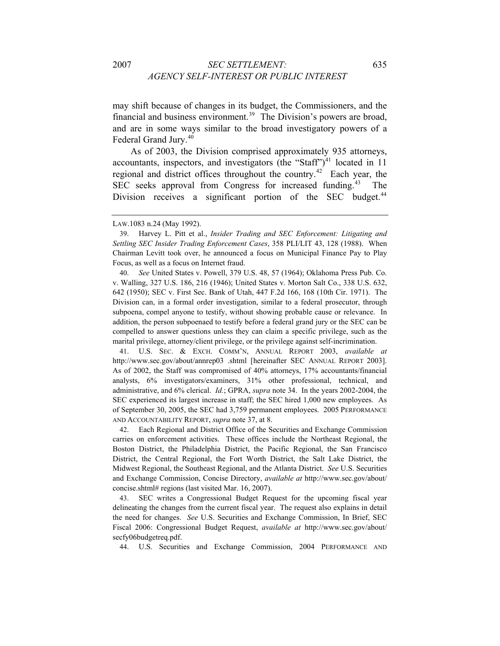may shift because of changes in its budget, the Commissioners, and the financial and business environment.<sup>[39](#page-9-0)</sup> The Division's powers are broad, and are in some ways similar to the broad investigatory powers of a Federal Grand Jury.<sup>[40](#page-9-1)</sup>

As of 2003, the Division comprised approximately 935 attorneys, accountants, inspectors, and investigators (the "Staff") $41$  located in 11 regional and district offices throughout the country.<sup>[42](#page-9-3)</sup> Each year, the SEC seeks approval from Congress for increased funding.<sup>[43](#page-9-4)</sup> Division receives a significant portion of the SEC budget.<sup>[44](#page-9-5)</sup>

#### LAW.1083 n.24 (May 1992).

<span id="page-9-1"></span>40. *See* United States v. Powell, 379 U.S. 48, 57 (1964); Oklahoma Press Pub. Co. v. Walling, 327 U.S. 186, 216 (1946); United States v. Morton Salt Co., 338 U.S. 632, 642 (1950); SEC v. First Sec. Bank of Utah, 447 F.2d 166, 168 (10th Cir. 1971). The Division can, in a formal order investigation, similar to a federal prosecutor, through subpoena, compel anyone to testify, without showing probable cause or relevance. In addition, the person subpoenaed to testify before a federal grand jury or the SEC can be compelled to answer questions unless they can claim a specific privilege, such as the marital privilege, attorney/client privilege, or the privilege against self-incrimination.

<span id="page-9-2"></span>41. U.S. SEC. & EXCH. COMM'N, ANNUAL REPORT 2003, *available at* http://www.sec.gov/about/annrep03 .shtml [hereinafter SEC ANNUAL REPORT 2003]. As of 2002, the Staff was compromised of 40% attorneys, 17% accountants/financial analysts, 6% investigators/examiners, 31% other professional, technical, and administrative, and 6% clerical. *Id.*; GPRA, *supra* note 34. In the years 2002-2004, the SEC experienced its largest increase in staff; the SEC hired 1,000 new employees. As of September 30, 2005, the SEC had 3,759 permanent employees. 2005 PERFORMANCE AND ACCOUNTABILITY REPORT, *supra* note 37, at 8.

<span id="page-9-3"></span>42. Each Regional and District Office of the Securities and Exchange Commission carries on enforcement activities. These offices include the Northeast Regional, the Boston District, the Philadelphia District, the [Pacific Regional,](http://www.sec.gov/contact/addresses.htm#pro#pro) the [San Francisco](http://www.sec.gov/contact/addresses.htm#sfdo#sfdo)  [District](http://www.sec.gov/contact/addresses.htm#sfdo#sfdo), the Central Regional, the [Fort Worth District](http://www.sec.gov/contact/addresses.htm#fwdo#fwdo), the [Salt Lake District](http://www.sec.gov/contact/addresses.htm#sldo#sldo), the [Midwest Regional,](http://www.sec.gov/contact/addresses.htm#mro#mro) the Southeast Regional, and the [Atlanta District](http://www.sec.gov/contact/addresses.htm#ado#ado). *See* U.S. Securities and Exchange Commission, Concise Directory, *available at* http://www.sec.gov/about/ concise.shtml# regions (last visited Mar. 16, 2007).

<span id="page-9-4"></span>43. SEC writes a Congressional Budget Request for the upcoming fiscal year delineating the changes from the current fiscal year. The request also explains in detail the need for changes. *See* U.S. Securities and Exchange Commission, In Brief, SEC Fiscal 2006: Congressional Budget Request, *available at* http://www.sec.gov/about/ secfy06budgetreq.pdf.

<span id="page-9-5"></span>44. U.S. Securities and Exchange Commission, 2004 PERFORMANCE AND

<span id="page-9-0"></span><sup>39.</sup> Harvey L. Pitt et al., *Insider Trading and SEC Enforcement: Litigating and Settling SEC Insider Trading Enforcement Cases*, 358 PLI/LIT 43, 128 (1988). When Chairman Levitt took over, he announced a focus on Municipal Finance Pay to Play Focus, as well as a focus on Internet fraud.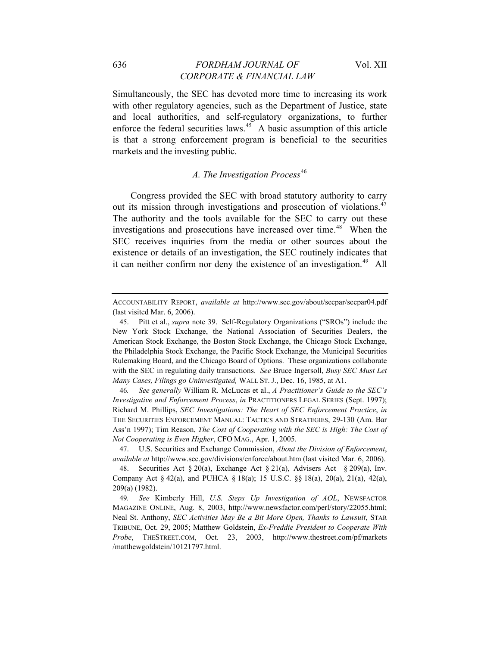Simultaneously, the SEC has devoted more time to increasing its work with other regulatory agencies, such as the Department of Justice, state and local authorities, and self-regulatory organizations, to further enforce the federal securities laws. $45$  A basic assumption of this article is that a strong enforcement program is beneficial to the securities markets and the investing public.

# *A. The Investigation Process*<sup>[46](#page-10-1)</sup>

Congress provided the SEC with broad statutory authority to carry out its mission through investigations and prosecution of violations.<sup>[47](#page-10-2)</sup> The authority and the tools available for the SEC to carry out these investigations and prosecutions have increased over time.<sup>[48](#page-10-3)</sup> When the SEC receives inquiries from the media or other sources about the existence or details of an investigation, the SEC routinely indicates that it can neither confirm nor deny the existence of an investigation.<sup>[49](#page-10-4)</sup> All

<span id="page-10-1"></span>46*. See generally* William R. McLucas et al., *A Practitioner's Guide to the SEC's Investigative and Enforcement Process*, *in* PRACTITIONERS LEGAL SERIES (Sept. 1997); Richard M. Phillips, *SEC Investigations: The Heart of SEC Enforcement Practice*, *in* THE SECURITIES ENFORCEMENT MANUAL: TACTICS AND STRATEGIES, 29-130 (Am. Bar Ass'n 1997); Tim Reason, *The Cost of Cooperating with the SEC is High: The Cost of Not Cooperating is Even Higher*, CFO MAG., Apr. 1, 2005.

<span id="page-10-2"></span>47. U.S. Securities and Exchange Commission, *About the Division of Enforcement*, *available at* http://www.sec.gov/divisions/enforce/about.htm (last visited Mar. 6, 2006).

ACCOUNTABILITY REPORT, *available at* http://www.sec.gov/about/secpar/secpar04.pdf (last visited Mar. 6, 2006).

<span id="page-10-0"></span><sup>45.</sup> Pitt et al., *supra* note 39. Self-Regulatory Organizations ("SROs") include the New York Stock Exchange, the National Association of Securities Dealers, the American Stock Exchange, the Boston Stock Exchange, the Chicago Stock Exchange, the Philadelphia Stock Exchange, the Pacific Stock Exchange, the Municipal Securities Rulemaking Board, and the Chicago Board of Options. These organizations collaborate with the SEC in regulating daily transactions. *See* Bruce Ingersoll, *Busy SEC Must Let Many Cases, Filings go Uninvestigated,* WALL ST. J., Dec. 16, 1985, at A1.

<span id="page-10-3"></span><sup>48.</sup> Securities Act § 20(a), Exchange Act § 21(a), Advisers Act § 209(a), Inv. Company Act  $\S 42(a)$ , and PUHCA  $\S 18(a)$ ; 15 U.S.C.  $\S \S 18(a)$ , 20(a), 21(a), 42(a), 209(a) (1982).

<span id="page-10-4"></span><sup>49</sup>*. See* Kimberly Hill, *U.S. Steps Up Investigation of AOL*, NEWSFACTOR MAGAZINE ONLINE, Aug. 8, 2003, http://www.newsfactor.com/perl/story/22055.html; Neal St. Anthony, *SEC Activities May Be a Bit More Open, Thanks to Lawsuit*, STAR TRIBUNE, Oct. 29, 2005; Matthew Goldstein, *Ex-Freddie President to Cooperate With Probe*, THESTREET.COM, Oct. 23, 2003, http://www.thestreet.com/pf/markets /matthewgoldstein/10121797.html.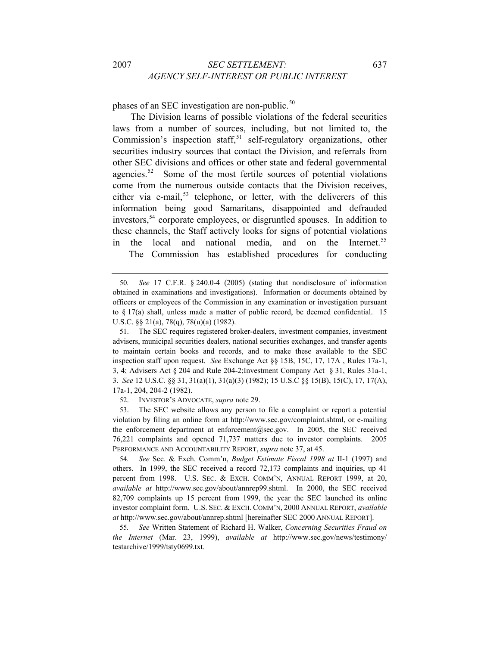phases of an SEC investigation are non-public.<sup>[50](#page-11-0)</sup>

The Division learns of possible violations of the federal securities laws from a number of sources, including, but not limited to, the Commission's inspection staff, $51$  self-regulatory organizations, other securities industry sources that contact the Division, and referrals from other SEC divisions and offices or other state and federal governmental agencies.<sup>[52](#page-11-2)</sup> Some of the most fertile sources of potential violations come from the numerous outside contacts that the Division receives, either via e-mail,<sup>[53](#page-11-3)</sup> telephone, or letter, with the deliverers of this information being good Samaritans, disappointed and defrauded investors,<sup>[54](#page-11-4)</sup> corporate employees, or disgruntled spouses. In addition to these channels, the Staff actively looks for signs of potential violations in the local and national media, and on the Internet.<sup>[55](#page-11-5)</sup> The Commission has established procedures for conducting

52. INVESTOR'S ADVOCATE, *supra* note 29.

<span id="page-11-3"></span><span id="page-11-2"></span>53. The SEC website allows any person to file a complaint or report a potential violation by filing an online form at http://www.sec.gov/complaint.shtml, or e-mailing the enforcement department at enforcement@sec.gov. In 2005, the SEC received 76,221 complaints and opened 71,737 matters due to investor complaints. 2005 PERFORMANCE AND ACCOUNTABILITY REPORT, *supra* note 37, at 45.

<span id="page-11-4"></span>54*. See* Sec. & Exch. Comm'n, *Budget Estimate Fiscal 1998 at* II-1 (1997) and others. In 1999, the SEC received a record 72,173 complaints and inquiries, up 41 percent from 1998. U.S. SEC. & EXCH. COMM'N, ANNUAL REPORT 1999, at 20, *available at* http://www.sec.gov/about/annrep99.shtml. In 2000, the SEC received 82,709 complaints up 15 percent from 1999, the year the SEC launched its online investor complaint form. U.S. SEC. & EXCH. COMM'N, 2000 ANNUAL REPORT, *available at* http://www.sec.gov/about/annrep.shtml [hereinafter SEC 2000 ANNUAL REPORT].

<span id="page-11-5"></span>55*. See* Written Statement of Richard H. Walker, *Concerning Securities Fraud on the Internet* (Mar. 23, 1999), *available at* http://www.sec.gov/news/testimony/ testarchive/1999/tsty0699.txt.

<span id="page-11-0"></span><sup>50</sup>*. See* 17 C.F.R. § 240.0-4 (2005) (stating that nondisclosure of information obtained in examinations and investigations). Information or documents obtained by officers or employees of the Commission in any examination or investigation pursuant to § 17(a) shall, unless made a matter of public record, be deemed confidential. 15 U.S.C. §§ 21(a), 78(q), 78(u)(a) (1982).

<span id="page-11-1"></span><sup>51.</sup> The SEC requires registered broker-dealers, investment companies, investment advisers, municipal securities dealers, national securities exchanges, and transfer agents to maintain certain books and records, and to make these available to the SEC inspection staff upon request. *See* Exchange Act §§ 15B, 15C, 17, 17A , Rules 17a-1, 3, 4; Advisers Act § 204 and Rule 204-2;Investment Company Act § 31, Rules 31a-1, 3. *See* 12 U.S.C. §§ 31, 31(a)(1), 31(a)(3) (1982); 15 U.S.C §§ 15(B), 15(C), 17, 17(A), 17a-1, 204, 204-2 (1982).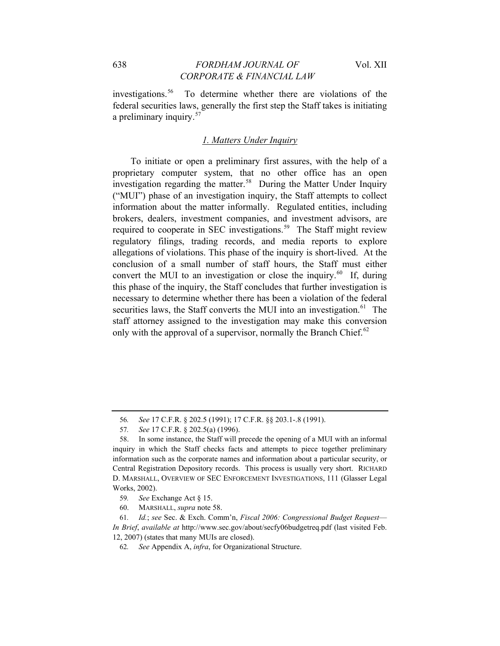investigations.<sup>[56](#page-12-0)</sup> To determine whether there are violations of the federal securities laws, generally the first step the Staff takes is initiating a preliminary inquiry.<sup>[57](#page-12-1)</sup>

#### *1. Matters Under Inquiry*

To initiate or open a preliminary first assures, with the help of a proprietary computer system, that no other office has an open investigation regarding the matter.<sup>[58](#page-12-2)</sup> During the Matter Under Inquiry ("MUI") phase of an investigation inquiry, the Staff attempts to collect information about the matter informally. Regulated entities, including brokers, dealers, investment companies, and investment advisors, are required to cooperate in SEC investigations.<sup>[59](#page-12-3)</sup> The Staff might review regulatory filings, trading records, and media reports to explore allegations of violations. This phase of the inquiry is short-lived. At the conclusion of a small number of staff hours, the Staff must either convert the MUI to an investigation or close the inquiry.<sup>[60](#page-12-4)</sup> If, during this phase of the inquiry, the Staff concludes that further investigation is necessary to determine whether there has been a violation of the federal securities laws, the Staff converts the MUI into an investigation.<sup>[61](#page-12-5)</sup> The staff attorney assigned to the investigation may make this conversion only with the approval of a supervisor, normally the Branch Chief. $62$ 

<sup>56</sup>*. See* 17 C.F.R. § 202.5 (1991); 17 C.F.R. §§ 203.1-.8 (1991).

<sup>57</sup>*. See* 17 C.F.R. § 202.5(a) (1996).

<span id="page-12-2"></span><span id="page-12-1"></span><span id="page-12-0"></span><sup>58.</sup> In some instance, the Staff will precede the opening of a MUI with an informal inquiry in which the Staff checks facts and attempts to piece together preliminary information such as the corporate names and information about a particular security, or Central Registration Depository records. This process is usually very short. RICHARD D. MARSHALL, OVERVIEW OF SEC ENFORCEMENT INVESTIGATIONS, 111 (Glasser Legal Works, 2002).

<sup>59</sup>*. See* Exchange Act § 15.

<sup>60.</sup> MARSHALL, *supra* note 58.

<span id="page-12-6"></span><span id="page-12-5"></span><span id="page-12-4"></span><span id="page-12-3"></span><sup>61</sup>*. Id.*; *see* Sec. & Exch. Comm'n, *Fiscal 2006: Congressional Budget Request*— *In Brief*, *available at* http://www.sec.gov/about/secfy06budgetreq.pdf (last visited Feb. 12, 2007) (states that many MUIs are closed).

<sup>62</sup>*. See* Appendix A, *infra*, for Organizational Structure.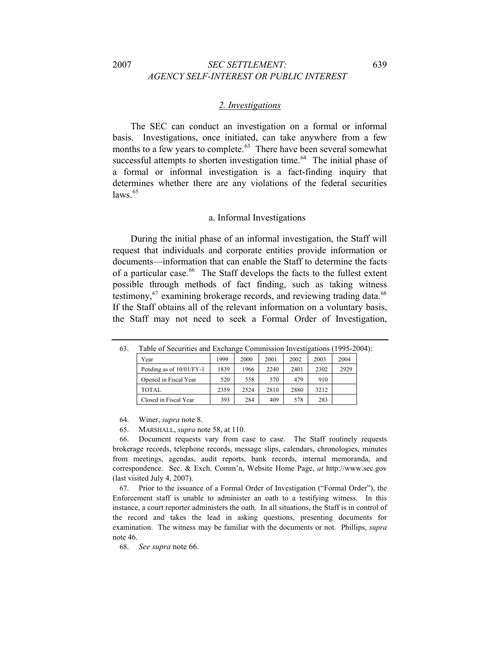# 2007 *SEC SETTLEMENT:* 639 *AGENCY SELF-INTEREST OR PUBLIC INTEREST*

#### *2. Investigations*

The SEC can conduct an investigation on a formal or informal basis. Investigations, once initiated, can take anywhere from a few months to a few years to complete.<sup>[63](#page-13-0)</sup> There have been several somewhat successful attempts to shorten investigation time. $^{64}$  $^{64}$  $^{64}$  The initial phase of a formal or informal investigation is a fact-finding inquiry that determines whether there are any violations of the federal securities laws $65$ 

#### a. Informal Investigations

During the initial phase of an informal investigation, the Staff will request that individuals and corporate entities provide information or documents—information that can enable the Staff to determine the facts of a particular case.<sup>[66](#page-13-3)</sup> The Staff develops the facts to the fullest extent possible through methods of fact finding, such as taking witness testimony, $67$  examining brokerage records, and reviewing trading data. $68$ If the Staff obtains all of the relevant information on a voluntary basis, the Staff may not need to seek a Formal Order of Investigation,

<span id="page-13-0"></span>

| 63. | Table of Securities and Exchange Commission Investigations (1995-2004): |      |      |      |      |      |      |  |  |
|-----|-------------------------------------------------------------------------|------|------|------|------|------|------|--|--|
|     | Year                                                                    | 1999 | 2000 | 2001 | 2002 | 2003 | 2004 |  |  |
|     | Pending as of $10/01/FY-1$                                              | 1839 | 1966 | 2240 | 2401 | 2302 | 2929 |  |  |
|     | Opened in Fiscal Year                                                   | 520  | 558  | 570  | 479  | 910  |      |  |  |
|     | TOTAL                                                                   | 2359 | 2524 | 2810 | 2880 | 3212 |      |  |  |
|     | Closed in Fiscal Year                                                   | 393  | 284  | 409  | 578  | 283  |      |  |  |

64. Winer, *supra* note 8.

65. MARSHALL, *supra* note 58, at 110.

<span id="page-13-3"></span><span id="page-13-2"></span><span id="page-13-1"></span>66. Document requests vary from case to case. The Staff routinely requests brokerage records, telephone records, message slips, calendars, chronologies, minutes from meetings, agendas, audit reports, bank records, internal memoranda, and correspondence. Sec. & Exch. Comm'n, Website Home Page, *at* http://www.sec.gov (last visited July 4, 2007).

<span id="page-13-4"></span>67. Prior to the issuance of a Formal Order of Investigation ("Formal Order"), the Enforcement staff is unable to administer an oath to a testifying witness. In this instance, a court reporter administers the oath. In all situations, the Staff is in control of the record and takes the lead in asking questions, presenting documents for examination. The witness may be familiar with the documents or not. Phillips, *supra* note 46.

<span id="page-13-5"></span>68. *See supra* note 66.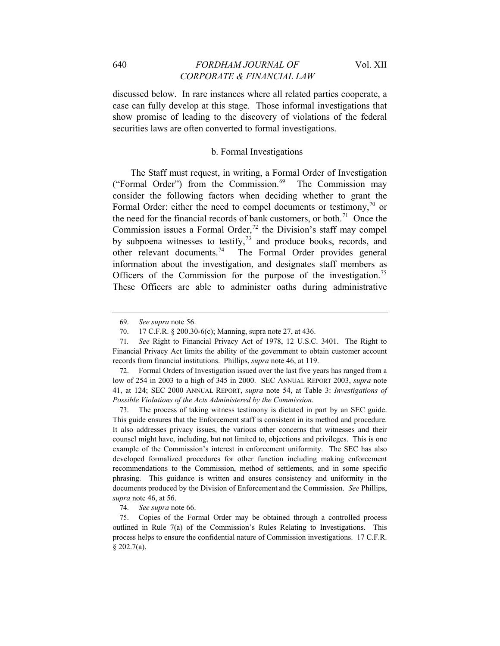discussed below. In rare instances where all related parties cooperate, a case can fully develop at this stage. Those informal investigations that show promise of leading to the discovery of violations of the federal securities laws are often converted to formal investigations.

#### b. Formal Investigations

The Staff must request, in writing, a Formal Order of Investigation ("Formal Order") from the Commission. $69$  The Commission may consider the following factors when deciding whether to grant the Formal Order: either the need to compel documents or testimony, $70$  or the need for the financial records of bank customers, or both.<sup>[71](#page-14-2)</sup> Once the Commission issues a Formal Order, $72$  the Division's staff may compel by subpoena witnesses to testify, $73$  and produce books, records, and other relevant documents.<sup>[74](#page-14-5)</sup> The Formal Order provides general information about the investigation, and designates staff members as Officers of the Commission for the purpose of the investigation.<sup>[75](#page-14-6)</sup> These Officers are able to administer oaths during administrative

<span id="page-14-4"></span>73. The process of taking witness testimony is dictated in part by an SEC guide. This guide ensures that the Enforcement staff is consistent in its method and procedure. It also addresses privacy issues, the various other concerns that witnesses and their counsel might have, including, but not limited to, objections and privileges. This is one example of the Commission's interest in enforcement uniformity. The SEC has also developed formalized procedures for other function including making enforcement recommendations to the Commission, method of settlements, and in some specific phrasing. This guidance is written and ensures consistency and uniformity in the documents produced by the Division of Enforcement and the Commission. *See* Phillips, *supra* note 46, at 56.

<sup>69.</sup> *See supra* note 56.

<sup>70. 17</sup> C.F.R. § 200.30-6(c); Manning, supra note 27, at 436.

<span id="page-14-2"></span><span id="page-14-1"></span><span id="page-14-0"></span><sup>71</sup>*. See* Right to Financial Privacy Act of 1978, 12 U.S.C. 3401. The Right to Financial Privacy Act limits the ability of the government to obtain customer account records from financial institutions. Phillips, *supra* note 46, at 119.

<span id="page-14-3"></span><sup>72.</sup> Formal Orders of Investigation issued over the last five years has ranged from a low of 254 in 2003 to a high of 345 in 2000. SEC ANNUAL REPORT 2003, *supra* note 41, at 124; SEC 2000 ANNUAL REPORT, *supra* note 54, at Table 3: *Investigations of Possible Violations of the Acts Administered by the Commission*.

<sup>74.</sup> *See supra* note 66.

<span id="page-14-6"></span><span id="page-14-5"></span><sup>75.</sup> Copies of the Formal Order may be obtained through a controlled process outlined in Rule 7(a) of the Commission's Rules Relating to Investigations. This process helps to ensure the confidential nature of Commission investigations. 17 C.F.R.  $§$  202.7(a).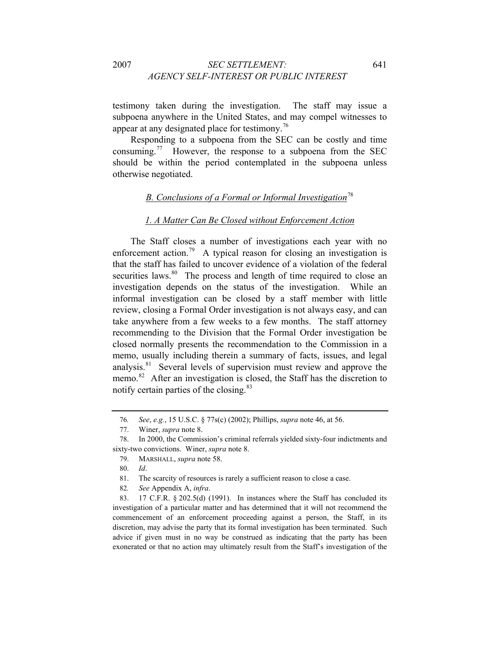testimony taken during the investigation. The staff may issue a subpoena anywhere in the United States, and may compel witnesses to appear at any designated place for testimony.[76](#page-15-0)

Responding to a subpoena from the SEC can be costly and time consuming.[77](#page-15-1) However, the response to a subpoena from the SEC should be within the period contemplated in the subpoena unless otherwise negotiated.

# *B. Conclusions of a Formal or Informal Investigation*[78](#page-15-2)

## *1. A Matter Can Be Closed without Enforcement Action*

The Staff closes a number of investigations each year with no enforcement action.<sup>[79](#page-15-3)</sup> A typical reason for closing an investigation is that the staff has failed to uncover evidence of a violation of the federal securities laws.<sup>[80](#page-15-4)</sup> The process and length of time required to close an investigation depends on the status of the investigation. While an informal investigation can be closed by a staff member with little review, closing a Formal Order investigation is not always easy, and can take anywhere from a few weeks to a few months. The staff attorney recommending to the Division that the Formal Order investigation be closed normally presents the recommendation to the Commission in a memo, usually including therein a summary of facts, issues, and legal analysis.[81](#page-15-5) Several levels of supervision must review and approve the memo.<sup>[82](#page-15-6)</sup> After an investigation is closed, the Staff has the discretion to notify certain parties of the closing.<sup>[83](#page-15-7)</sup>

79. MARSHALL, *supra* note 58.

82*. See* Appendix A, *infra*.

<span id="page-15-7"></span><span id="page-15-6"></span><span id="page-15-5"></span>83. 17 C.F.R. § 202.5(d) (1991). In instances where the Staff has concluded its investigation of a particular matter and has determined that it will not recommend the commencement of an enforcement proceeding against a person, the Staff, in its discretion, may advise the party that its formal investigation has been terminated. Such advice if given must in no way be construed as indicating that the party has been exonerated or that no action may ultimately result from the Staff's investigation of the

<sup>76</sup>*. See*, *e.g.*, 15 U.S.C. § 77s(c) (2002); Phillips, *supra* note 46, at 56.

<sup>77.</sup> Winer, *supra* note 8.

<span id="page-15-4"></span><span id="page-15-3"></span><span id="page-15-2"></span><span id="page-15-1"></span><span id="page-15-0"></span><sup>78.</sup> In 2000, the Commission's criminal referrals yielded sixty-four indictments and sixty-two convictions. Winer, *supra* note 8.

<sup>80.</sup> *Id*.

<sup>81.</sup> The scarcity of resources is rarely a sufficient reason to close a case.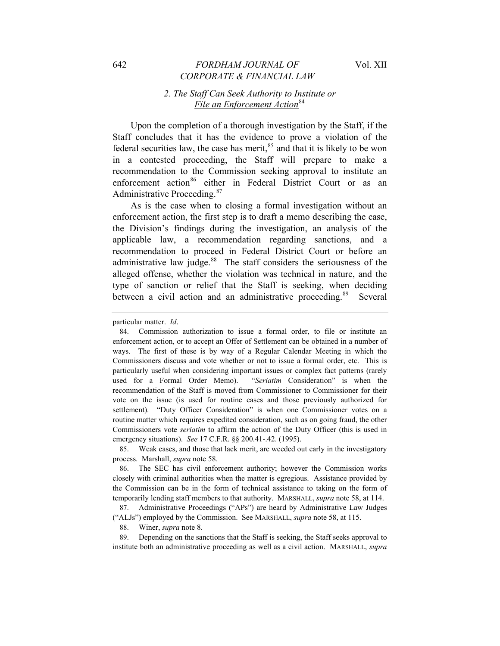# *2. The Staff Can Seek Authority to Institute or File an Enforcement Action*[84](#page-16-0)

Upon the completion of a thorough investigation by the Staff, if the Staff concludes that it has the evidence to prove a violation of the federal securities law, the case has merit, $85$  and that it is likely to be won in a contested proceeding, the Staff will prepare to make a recommendation to the Commission seeking approval to institute an enforcement action<sup>[86](#page-16-2)</sup> either in Federal District Court or as an Administrative Proceeding.<sup>[87](#page-16-3)</sup>

As is the case when to closing a formal investigation without an enforcement action, the first step is to draft a memo describing the case, the Division's findings during the investigation, an analysis of the applicable law, a recommendation regarding sanctions, and a recommendation to proceed in Federal District Court or before an administrative law judge. $88$  The staff considers the seriousness of the alleged offense, whether the violation was technical in nature, and the type of sanction or relief that the Staff is seeking, when deciding between a civil action and an administrative proceeding.<sup>[89](#page-16-5)</sup> Several

<span id="page-16-1"></span>85. Weak cases, and those that lack merit, are weeded out early in the investigatory process. Marshall, *supra* note 58.

<span id="page-16-2"></span>86. The SEC has civil enforcement authority; however the Commission works closely with criminal authorities when the matter is egregious. Assistance provided by the Commission can be in the form of technical assistance to taking on the form of temporarily lending staff members to that authority. MARSHALL, *supra* note 58, at 114.

<span id="page-16-3"></span>87. Administrative Proceedings ("APs") are heard by Administrative Law Judges ("ALJs") employed by the Commission. See MARSHALL, *supra* note 58, at 115.

88. Winer, *supra* note 8.

particular matter. *Id*.

<span id="page-16-0"></span><sup>84.</sup> Commission authorization to issue a formal order, to file or institute an enforcement action, or to accept an Offer of Settlement can be obtained in a number of ways. The first of these is by way of a Regular Calendar Meeting in which the Commissioners discuss and vote whether or not to issue a formal order, etc. This is particularly useful when considering important issues or complex fact patterns (rarely used for a Formal Order Memo). "*Seriatim* Consideration" is when the recommendation of the Staff is moved from Commissioner to Commissioner for their vote on the issue (is used for routine cases and those previously authorized for settlement). "Duty Officer Consideration" is when one Commissioner votes on a routine matter which requires expedited consideration, such as on going fraud, the other Commissioners vote *seriatim* to affirm the action of the Duty Officer (this is used in emergency situations). *See* 17 C.F.R. §§ 200.41-.42. (1995).

<span id="page-16-5"></span><span id="page-16-4"></span><sup>89.</sup> Depending on the sanctions that the Staff is seeking, the Staff seeks approval to institute both an administrative proceeding as well as a civil action. MARSHALL, *supra*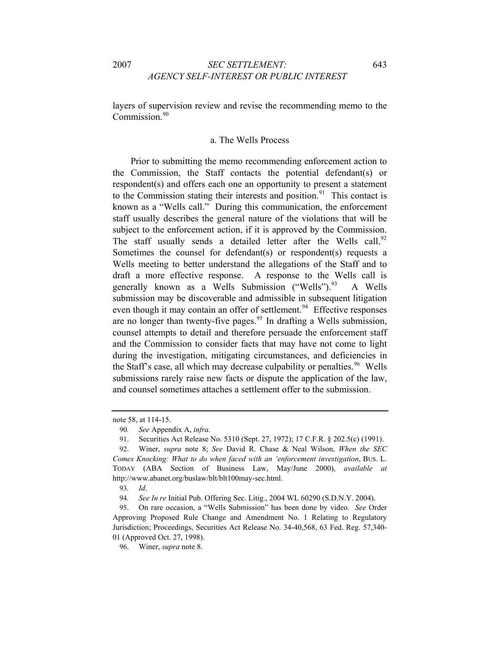layers of supervision review and revise the recommending memo to the Commission.<sup>[90](#page-17-0)</sup>

## a. The Wells Process

Prior to submitting the memo recommending enforcement action to the Commission, the Staff contacts the potential defendant(s) or respondent(s) and offers each one an opportunity to present a statement to the Commission stating their interests and position.<sup>[91](#page-17-1)</sup> This contact is known as a "Wells call." During this communication, the enforcement staff usually describes the general nature of the violations that will be subject to the enforcement action, if it is approved by the Commission. The staff usually sends a detailed letter after the Wells call.<sup>[92](#page-17-2)</sup> Sometimes the counsel for defendant(s) or respondent(s) requests a Wells meeting to better understand the allegations of the Staff and to draft a more effective response. A response to the Wells call is generally known as a Wells Submission ("Wells").<sup>[93](#page-17-3)</sup> A Wells submission may be discoverable and admissible in subsequent litigation even though it may contain an offer of settlement.<sup>[94](#page-17-4)</sup> Effective responses are no longer than twenty-five pages.<sup>[95](#page-17-5)</sup> In drafting a Wells submission, counsel attempts to detail and therefore persuade the enforcement staff and the Commission to consider facts that may have not come to light during the investigation, mitigating circumstances, and deficiencies in the Staff's case, all which may decrease culpability or penalties.<sup>[96](#page-17-6)</sup> Wells submissions rarely raise new facts or dispute the application of the law, and counsel sometimes attaches a settlement offer to the submission.

<span id="page-17-0"></span>note 58, at 114-15.

<sup>90</sup>*. See* Appendix A, *infra*.

<sup>91.</sup> Securities Act Release No. 5310 (Sept. 27, 1972); 17 C.F.R. § 202.5(c) (1991).

<span id="page-17-2"></span><span id="page-17-1"></span><sup>92.</sup> Winer, *supra* note 8; *See* David R. Chase & Neal Wilson, *When the SEC Comes Knocking: What to do when faced with an 'enforcement investigation*, BUS. L. TODAY (ABA Section of Business Law, May/June 2000), *available at* http://www.abanet.org/buslaw/blt/blt100may-sec.html.

<sup>93</sup>*. Id*.

<sup>94</sup>*. See In re* Initial Pub. Offering Sec. Litig., 2004 WL 60290 (S.D.N.Y. 2004).

<span id="page-17-6"></span><span id="page-17-5"></span><span id="page-17-4"></span><span id="page-17-3"></span><sup>95.</sup> On rare occasion, a "Wells Submission" has been done by video. *See* Order Approving Proposed Rule Change and Amendment No. 1 Relating to Regulatory Jurisdiction; Proceedings, Securities Act Release No. 34-40,568, 63 Fed. Reg. 57,340- 01 (Approved Oct. 27, 1998).

<sup>96.</sup> Winer, *supra* note 8.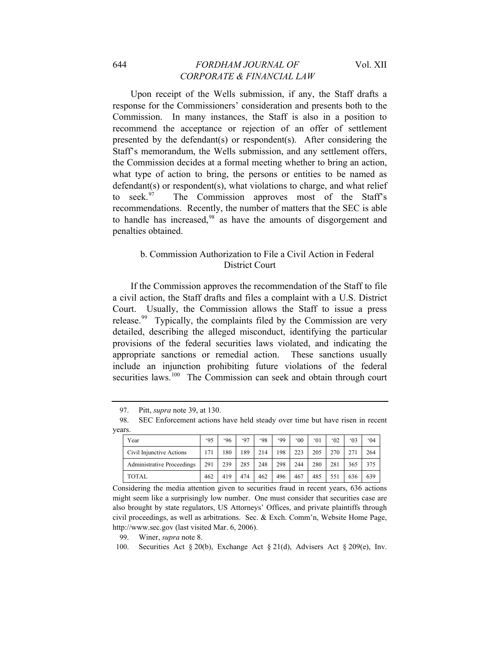Upon receipt of the Wells submission, if any, the Staff drafts a response for the Commissioners' consideration and presents both to the Commission. In many instances, the Staff is also in a position to recommend the acceptance or rejection of an offer of settlement presented by the defendant(s) or respondent(s). After considering the Staff's memorandum, the Wells submission, and any settlement offers, the Commission decides at a formal meeting whether to bring an action, what type of action to bring, the persons or entities to be named as defendant(s) or respondent(s), what violations to charge, and what relief to seek.<sup>[97](#page-18-0)</sup> The Commission approves most of the Staff's recommendations. Recently, the number of matters that the SEC is able to handle has increased, $98$  as have the amounts of disgorgement and penalties obtained.

# b. Commission Authorization to File a Civil Action in Federal District Court

If the Commission approves the recommendation of the Staff to file a civil action, the Staff drafts and files a complaint with a U.S. District Court. Usually, the Commission allows the Staff to issue a press release.<sup>[99](#page-18-2)</sup> Typically, the complaints filed by the Commission are very detailed, describing the alleged misconduct, identifying the particular provisions of the federal securities laws violated, and indicating the appropriate sanctions or remedial action. These sanctions usually include an injunction prohibiting future violations of the federal securities laws.<sup>[100](#page-18-3)</sup> The Commission can seek and obtain through court

<span id="page-18-1"></span><span id="page-18-0"></span><sup>98.</sup> SEC Enforcement actions have held steady over time but have risen in recent years.

| Year                              | .95 | .96 | .97 | 98  | .99 | $^{\circ}00$ | $^{\circ}$ 01 | $^{\circ}02$ | $^{\circ}$ 03 | 04  |
|-----------------------------------|-----|-----|-----|-----|-----|--------------|---------------|--------------|---------------|-----|
| Civil Injunctive Actions          | 171 | 180 | 89  | 214 | 198 | 223          | 205           | 270          | 271           | 264 |
| <b>Administrative Proceedings</b> | 291 | 239 | 285 | 248 | 298 | 244          | 280           | 281          | 365           | 375 |
| TOTAL                             | 462 | 419 | 474 | 462 | 496 | 467          | 485           | 551          | 636           | 639 |

Considering the media attention given to securities fraud in recent years, 636 actions might seem like a surprisingly low number. One must consider that securities case are also brought by state regulators, US Attorneys' Offices, and private plaintiffs through civil proceedings, as well as arbitrations. Sec. & Exch. Comm'n, Website Home Page, http://www.sec.gov (last visited Mar. 6, 2006).

- 99. Winer, *supra* note 8.
- <span id="page-18-3"></span><span id="page-18-2"></span>100. Securities Act § 20(b), Exchange Act § 21(d), Advisers Act § 209(e), Inv.

<sup>97.</sup> Pitt, *supra* note 39, at 130.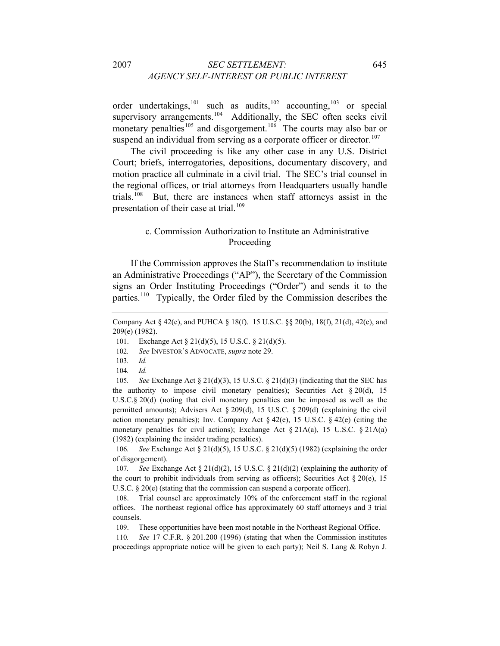order undertakings,<sup>[101](#page-19-0)</sup> such as audits,<sup>[102](#page-19-1)</sup> accounting,<sup>[103](#page-19-2)</sup> or special supervisory arrangements.<sup>[104](#page-19-3)</sup> Additionally, the SEC often seeks civil monetary penalties<sup>[105](#page-19-4)</sup> and disgorgement.<sup>[106](#page-19-5)</sup> The courts may also bar or suspend an individual from serving as a corporate officer or director.<sup>[107](#page-19-6)</sup>

The civil proceeding is like any other case in any U.S. District Court; briefs, interrogatories, depositions, documentary discovery, and motion practice all culminate in a civil trial. The SEC's trial counsel in the regional offices, or trial attorneys from Headquarters usually handle trials.[108](#page-19-7) But, there are instances when staff attorneys assist in the presentation of their case at trial. $109$ 

# c. Commission Authorization to Institute an Administrative Proceeding

If the Commission approves the Staff's recommendation to institute an Administrative Proceedings ("AP"), the Secretary of the Commission signs an Order Instituting Proceedings ("Order") and sends it to the parties.[110](#page-19-9) Typically, the Order filed by the Commission describes the

- 102*. See* INVESTOR'S ADVOCATE, *supra* note 29.
- 103*. Id.*

<span id="page-19-5"></span>106*. See* Exchange Act § 21(d)(5), 15 U.S.C. § 21(d)(5) (1982) (explaining the order of disgorgement).

<span id="page-19-6"></span>107*. See* Exchange Act § 21(d)(2), 15 U.S.C. § 21(d)(2) (explaining the authority of the court to prohibit individuals from serving as officers); Securities Act  $\S 20(e)$ , 15 U.S.C. § 20(e) (stating that the commission can suspend a corporate officer).

<span id="page-19-7"></span>108. Trial counsel are approximately 10% of the enforcement staff in the regional offices. The northeast regional office has approximately 60 staff attorneys and 3 trial counsels.

109. These opportunities have been most notable in the Northeast Regional Office.

<span id="page-19-9"></span><span id="page-19-8"></span>110*. See* 17 C.F.R. § 201.200 (1996) (stating that when the Commission institutes proceedings appropriate notice will be given to each party); Neil S. Lang & Robyn J.

<span id="page-19-0"></span>Company Act § 42(e), and PUHCA § 18(f). 15 U.S.C. §§ 20(b), 18(f), 21(d), 42(e), and 209(e) (1982).

<span id="page-19-1"></span><sup>101.</sup> Exchange Act § 21(d)(5), 15 U.S.C. § 21(d)(5).

<sup>104</sup>*. Id.*

<span id="page-19-4"></span><span id="page-19-3"></span><span id="page-19-2"></span><sup>105</sup>*. See* Exchange Act § 21(d)(3), 15 U.S.C. § 21(d)(3) (indicating that the SEC has the authority to impose civil monetary penalties); Securities Act  $\S 20(d)$ , 15 U.S.C.§ 20(d) (noting that civil monetary penalties can be imposed as well as the permitted amounts); Advisers Act § 209(d), 15 U.S.C. § 209(d) (explaining the civil action monetary penalties); Inv. Company Act  $\S 42(e)$ , 15 U.S.C.  $\S 42(e)$  (citing the monetary penalties for civil actions); Exchange Act § 21A(a), 15 U.S.C. § 21A(a) (1982) (explaining the insider trading penalties).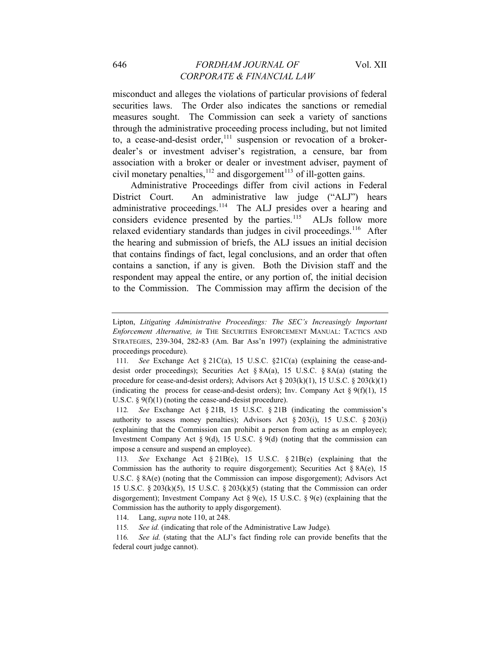misconduct and alleges the violations of particular provisions of federal securities laws. The Order also indicates the sanctions or remedial measures sought. The Commission can seek a variety of sanctions through the administrative proceeding process including, but not limited to, a cease-and-desist order,  $111$  suspension or revocation of a brokerdealer's or investment adviser's registration, a censure, bar from association with a broker or dealer or investment adviser, payment of civil monetary penalties,  $112$  and disgorgement<sup>[113](#page-20-2)</sup> of ill-gotten gains.

Administrative Proceedings differ from civil actions in Federal District Court. An administrative law judge ("ALJ") hears administrative proceedings.<sup>[114](#page-20-3)</sup> The ALJ presides over a hearing and considers evidence presented by the parties.<sup>[115](#page-20-4)</sup> ALJs follow more relaxed evidentiary standards than judges in civil proceedings.<sup>[116](#page-20-5)</sup> After the hearing and submission of briefs, the ALJ issues an [initial decision](http://www.sec.gov/litigation/aljdec.shtml) that contains findings of fact, legal conclusions, and an order that often contains a sanction, if any is given. Both the Division staff and the respondent may appeal the entire, or any portion of, the initial decision to the Commission. The Commission may affirm the decision of the

<span id="page-20-1"></span>112*. See* Exchange Act § 21B, 15 U.S.C. § 21B (indicating the commission's authority to assess money penalties); Advisors Act  $\S 203(i)$ , 15 U.S.C.  $\S 203(i)$ (explaining that the Commission can prohibit a person from acting as an employee); Investment Company Act  $\S 9(d)$ , 15 U.S.C.  $\S 9(d)$  (noting that the commission can impose a censure and suspend an employee).

<span id="page-20-2"></span>113*. See* Exchange Act § 21B(e), 15 U.S.C. § 21B(e) (explaining that the Commission has the authority to require disgorgement); Securities Act  $\S$  8A(e), 15 U.S.C. § 8A(e) (noting that the Commission can impose disgorgement); Advisors Act 15 U.S.C.  $\S 203(k)(5)$ , 15 U.S.C.  $\S 203(k)(5)$  (stating that the Commission can order disgorgement); Investment Company Act § 9(e), 15 U.S.C. § 9(e) (explaining that the Commission has the authority to apply disgorgement).

<span id="page-20-3"></span>114. Lang, *supra* note 110, at 248.

115*. See id.* (indicating that role of the Administrative Law Judge)*.*

<span id="page-20-5"></span><span id="page-20-4"></span>116*. See id.* (stating that the ALJ's fact finding role can provide benefits that the federal court judge cannot).

Lipton, *Litigating Administrative Proceedings: The SEC's Increasingly Important Enforcement Alternative, in* THE SECURITIES ENFORCEMENT MANUAL: TACTICS AND STRATEGIES, 239-304, 282-83 (Am. Bar Ass'n 1997) (explaining the administrative proceedings procedure).

<span id="page-20-0"></span><sup>111</sup>*. See* Exchange Act § 21C(a), 15 U.S.C. §21C(a) (explaining the cease-anddesist order proceedings); Securities Act § 8A(a), 15 U.S.C. § 8A(a) (stating the procedure for cease-and-desist orders); Advisors Act § 203(k)(1), 15 U.S.C. § 203(k)(1) (indicating the process for cease-and-desist orders); Inv. Company Act  $\S 9(f)(1)$ , 15 U.S.C. § 9(f)(1) (noting the cease-and-desist procedure).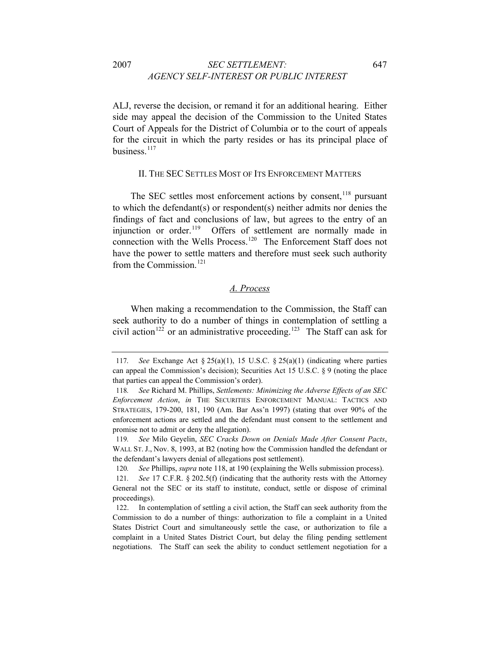ALJ, reverse the decision, or remand it for an additional hearing. Either side may appeal the decision of the Commission to the United States Court of Appeals for the District of Columbia or to the court of appeals for the circuit in which the party resides or has its principal place of business. $117$ 

#### II. THE SEC SETTLES MOST OF ITS ENFORCEMENT MATTERS

The SEC settles most enforcement actions by consent,<sup>[118](#page-21-1)</sup> pursuant to which the defendant(s) or respondent(s) neither admits nor denies the findings of fact and conclusions of law, but agrees to the entry of an injunction or order.<sup>[119](#page-21-2)</sup> Offers of settlement are normally made in connection with the Wells Process.<sup>[120](#page-21-3)</sup> The Enforcement Staff does not have the power to settle matters and therefore must seek such authority from the Commission.<sup>[121](#page-21-4)</sup>

#### *A. Process*

<span id="page-21-6"></span>When making a recommendation to the Commission, the Staff can seek authority to do a number of things in contemplation of settling a civil action<sup>[122](#page-21-5)</sup> or an administrative proceeding.<sup>[123](#page-21-6)</sup> The Staff can ask for

<span id="page-21-0"></span><sup>117</sup>*. See* Exchange Act § 25(a)(1), 15 U.S.C. § 25(a)(1) (indicating where parties can appeal the Commission's decision); Securities Act 15 U.S.C. § 9 (noting the place that parties can appeal the Commission's order).

<span id="page-21-1"></span><sup>118</sup>*. See* Richard M. Phillips, *Settlements: Minimizing the Adverse Effects of an SEC Enforcement Action*, *in* THE SECURITIES ENFORCEMENT MANUAL: TACTICS AND STRATEGIES, 179-200, 181, 190 (Am. Bar Ass'n 1997) (stating that over 90% of the enforcement actions are settled and the defendant must consent to the settlement and promise not to admit or deny the allegation).

<span id="page-21-2"></span><sup>119</sup>*. See* Milo Geyelin, *SEC Cracks Down on Denials Made After Consent Pacts*, WALL ST. J., Nov. 8, 1993, at B2 (noting how the Commission handled the defendant or the defendant's lawyers denial of allegations post settlement).

<sup>120</sup>*. See* Phillips, *supra* note 118, at 190 (explaining the Wells submission process).

<span id="page-21-4"></span><span id="page-21-3"></span><sup>121</sup>*. See* 17 C.F.R. § 202.5(f) (indicating that the authority rests with the Attorney General not the SEC or its staff to institute, conduct, settle or dispose of criminal proceedings).

<span id="page-21-5"></span><sup>122.</sup> In contemplation of settling a civil action, the Staff can seek authority from the Commission to do a number of things: authorization to file a complaint in a United States District Court and simultaneously settle the case, or authorization to file a complaint in a United States District Court, but delay the filing pending settlement negotiations. The Staff can seek the ability to conduct settlement negotiation for a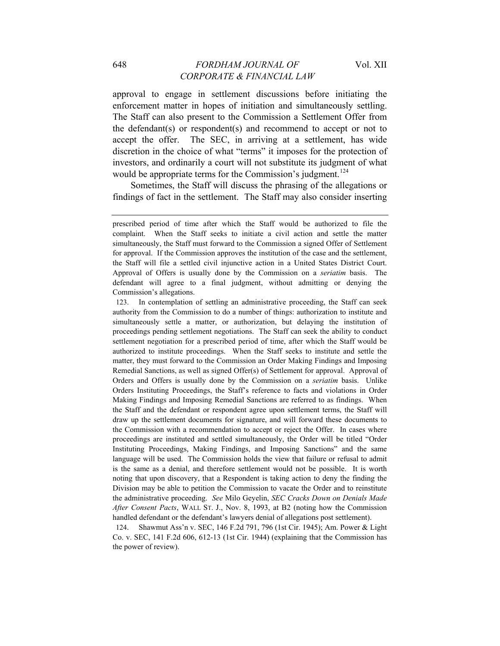approval to engage in settlement discussions before initiating the enforcement matter in hopes of initiation and simultaneously settling. The Staff can also present to the Commission a Settlement Offer from the defendant(s) or respondent(s) and recommend to accept or not to accept the offer. The SEC, in arriving at a settlement, has wide discretion in the choice of what "terms" it imposes for the protection of investors, and ordinarily a court will not substitute its judgment of what would be appropriate terms for the Commission's judgment.<sup>[124](#page-22-0)</sup>

Sometimes, the Staff will discuss the phrasing of the allegations or findings of fact in the settlement. The Staff may also consider inserting

123. In contemplation of settling an administrative proceeding, the Staff can seek authority from the Commission to do a number of things: authorization to institute and simultaneously settle a matter, or authorization, but delaying the institution of proceedings pending settlement negotiations. The Staff can seek the ability to conduct settlement negotiation for a prescribed period of time, after which the Staff would be authorized to institute proceedings. When the Staff seeks to institute and settle the matter, they must forward to the Commission an Order Making Findings and Imposing Remedial Sanctions, as well as signed Offer(s) of Settlement for approval. Approval of Orders and Offers is usually done by the Commission on a *seriatim* basis. Unlike Orders Instituting Proceedings, the Staff's reference to facts and violations in Order Making Findings and Imposing Remedial Sanctions are referred to as findings. When the Staff and the defendant or respondent agree upon settlement terms, the Staff will draw up the settlement documents for signature, and will forward these documents to the Commission with a recommendation to accept or reject the Offer. In cases where proceedings are instituted and settled simultaneously, the Order will be titled "Order Instituting Proceedings, Making Findings, and Imposing Sanctions" and the same language will be used. The Commission holds the view that failure or refusal to admit is the same as a denial, and therefore settlement would not be possible. It is worth noting that upon discovery, that a Respondent is taking action to deny the finding the Division may be able to petition the Commission to vacate the Order and to reinstitute the administrative proceeding. *See* Milo Geyelin, *SEC Cracks Down on Denials Made After Consent Pacts*, WALL ST. J., Nov. 8, 1993, at B2 (noting how the Commission handled defendant or the defendant's lawyers denial of allegations post settlement).

<span id="page-22-0"></span>124. Shawmut Ass'n v. SEC, 146 F.2d 791, 796 (1st Cir. 1945); Am. Power & Light Co. v. SEC, 141 F.2d 606, 612-13 (1st Cir. 1944) (explaining that the Commission has the power of review).

prescribed period of time after which the Staff would be authorized to file the complaint. When the Staff seeks to initiate a civil action and settle the matter simultaneously, the Staff must forward to the Commission a signed Offer of Settlement for approval. If the Commission approves the institution of the case and the settlement, the Staff will file a settled civil injunctive action in a United States District Court. Approval of Offers is usually done by the Commission on a *seriatim* basis. The defendant will agree to a final judgment, without admitting or denying the Commission's allegations.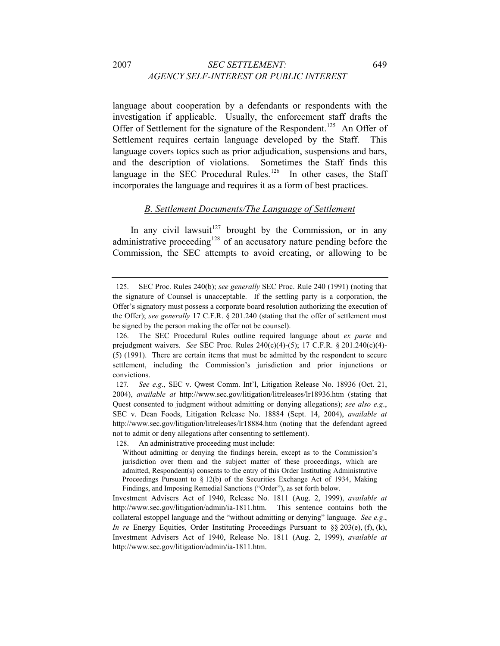language about cooperation by a defendants or respondents with the investigation if applicable. Usually, the enforcement staff drafts the Offer of Settlement for the signature of the Respondent.<sup>[125](#page-23-0)</sup> An Offer of Settlement requires certain language developed by the Staff. This language covers topics such as prior adjudication, suspensions and bars, and the description of violations. Sometimes the Staff finds this language in the SEC Procedural Rules.<sup>[126](#page-23-1)</sup> In other cases, the Staff incorporates the language and requires it as a form of best practices.

#### *B. Settlement Documents/The Language of Settlement*

In any civil lawsuit<sup>[127](#page-23-2)</sup> brought by the Commission, or in any administrative proceeding<sup>[128](#page-23-3)</sup> of an accusatory nature pending before the Commission, the SEC attempts to avoid creating, or allowing to be

<span id="page-23-3"></span>128. An administrative proceeding must include:

<span id="page-23-0"></span><sup>125.</sup> SEC Proc. Rules 240(b); *see generally* SEC Proc. Rule 240 (1991) (noting that the signature of Counsel is unacceptable. If the settling party is a corporation, the Offer's signatory must possess a corporate board resolution authorizing the execution of the Offer); *see generally* 17 C.F.R. § 201.240 (stating that the offer of settlement must be signed by the person making the offer not be counsel).

<span id="page-23-1"></span><sup>126.</sup> The SEC Procedural Rules outline required language about *ex parte* and prejudgment waivers. *See* SEC Proc. Rules 240(c)(4)-(5); 17 C.F.R. § 201.240(c)(4)- (5) (1991). There are certain items that must be admitted by the respondent to secure settlement, including the Commission's jurisdiction and prior injunctions or convictions.

<span id="page-23-2"></span><sup>127</sup>*. See e.g*., SEC v. Qwest Comm. Int'l, [Litigation Release No. 18936 \(Oct. 21,](https://web2.westlaw.com/find/default.wl?DB=6510&SerialNum=2005371773&FindType=Y&AP=&mt=LawSchool&fn=_top&sv=Split&vr=2.0&rs=WLW6.03)  [2004\)](https://web2.westlaw.com/find/default.wl?DB=6510&SerialNum=2005371773&FindType=Y&AP=&mt=LawSchool&fn=_top&sv=Split&vr=2.0&rs=WLW6.03), *available at* http://www.sec.gov/litigation/litreleases/lr18936.htm (stating that Quest consented to judgment without admitting or denying allegations); *see also e.g*., SEC v. Dean Foods, [Litigation Release No. 18884 \(Sept. 14, 2004\),](https://web2.westlaw.com/find/default.wl?DB=6510&SerialNum=2005107840&FindType=Y&AP=&mt=LawSchool&fn=_top&sv=Split&vr=2.0&rs=WLW6.03) *available at* http://www.sec.gov/litigation/litreleases/lr18884.htm (noting that the defendant agreed not to admit or deny allegations after consenting to settlement).

Without admitting or denying the findings herein, except as to the Commission's jurisdiction over them and the subject matter of these proceedings, which are admitted, Respondent(s) consents to the entry of this Order Instituting Administrative Proceedings Pursuant to § 12(b) of the Securities Exchange Act of 1934, Making Findings, and Imposing Remedial Sanctions ("Order"), as set forth below.

Investment Advisers Act of 1940, Release No. 1811 (Aug. 2, 1999), *available at* http://www.sec.gov/litigation/admin/ia-1811.htm. This sentence contains both the collateral estoppel language and the "without admitting or denying" language. *See e.g*., *In re* Energy Equities, Order Instituting Proceedings Pursuant to §§ 203(e), (f), (k), Investment Advisers Act of 1940, Release No. 1811 (Aug. 2, 1999), *available at* http://www.sec.gov/litigation/admin/ia-1811.htm.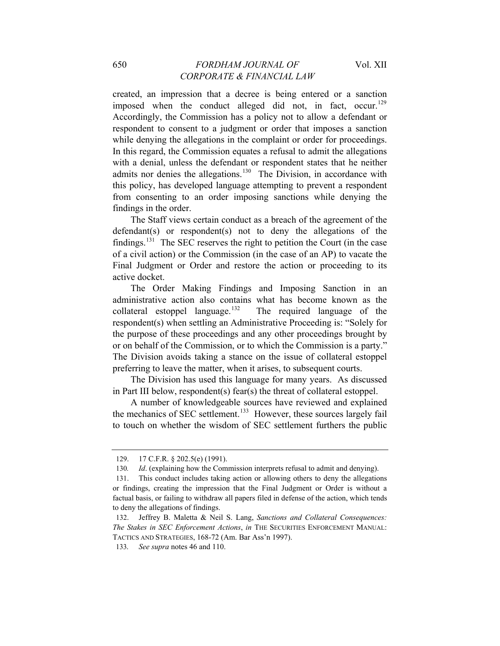created, an impression that a decree is being entered or a sanction imposed when the conduct alleged did not, in fact, occur.<sup>[129](#page-24-0)</sup> Accordingly, the Commission has a policy not to allow a defendant or respondent to consent to a judgment or order that imposes a sanction while denying the allegations in the complaint or order for proceedings. In this regard, the Commission equates a refusal to admit the allegations with a denial, unless the defendant or respondent states that he neither admits nor denies the allegations.<sup>[130](#page-24-1)</sup> The Division, in accordance with this policy, has developed language attempting to prevent a respondent from consenting to an order imposing sanctions while denying the findings in the order.

The Staff views certain conduct as a breach of the agreement of the defendant(s) or respondent(s) not to deny the allegations of the findings.<sup>[131](#page-24-2)</sup> The SEC reserves the right to petition the Court (in the case of a civil action) or the Commission (in the case of an AP) to vacate the Final Judgment or Order and restore the action or proceeding to its active docket.

The Order Making Findings and Imposing Sanction in an administrative action also contains what has become known as the collateral estoppel language.<sup>[132](#page-24-3)</sup> The required language of the respondent(s) when settling an Administrative Proceeding is: "Solely for the purpose of these proceedings and any other proceedings brought by or on behalf of the Commission, or to which the Commission is a party." The Division avoids taking a stance on the issue of collateral estoppel preferring to leave the matter, when it arises, to subsequent courts.

The Division has used this language for many years. As discussed in Part III below, respondent(s) fear(s) the threat of collateral estoppel.

A number of knowledgeable sources have reviewed and explained the mechanics of SEC settlement.<sup>[133](#page-24-4)</sup> However, these sources largely fail to touch on whether the wisdom of SEC settlement furthers the public

<sup>129. 17</sup> C.F.R. § 202.5(e) (1991).

<sup>130</sup>*. Id*. (explaining how the Commission interprets refusal to admit and denying).

<span id="page-24-2"></span><span id="page-24-1"></span><span id="page-24-0"></span><sup>131.</sup> This conduct includes taking action or allowing others to deny the allegations or findings, creating the impression that the Final Judgment or Order is without a factual basis, or failing to withdraw all papers filed in defense of the action, which tends to deny the allegations of findings.

<span id="page-24-3"></span><sup>132.</sup> Jeffrey B. Maletta & Neil S. Lang, *Sanctions and Collateral Consequences: The Stakes in SEC Enforcement Actions*, *in* THE SECURITIES ENFORCEMENT MANUAL: TACTICS AND STRATEGIES, 168-72 (Am. Bar Ass'n 1997).

<span id="page-24-4"></span><sup>133</sup>*. See supra* notes 46 and 110.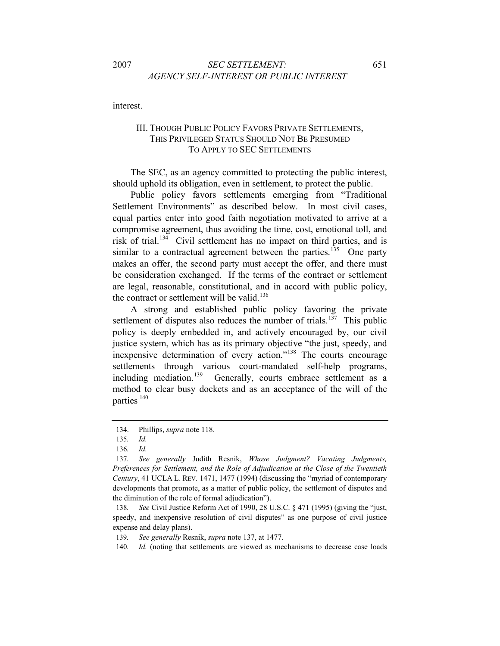interest.

# III. THOUGH PUBLIC POLICY FAVORS PRIVATE SETTLEMENTS, THIS PRIVILEGED STATUS SHOULD NOT BE PRESUMED TO APPLY TO SEC SETTLEMENTS

The SEC, as an agency committed to protecting the public interest, should uphold its obligation, even in settlement, to protect the public.

Public policy favors settlements emerging from "Traditional Settlement Environments" as described below. In most civil cases, equal parties enter into good faith negotiation motivated to arrive at a compromise agreement, thus avoiding the time, cost, emotional toll, and risk of trial.[134](#page-25-0) Civil settlement has no impact on third parties, and is similar to a contractual agreement between the parties.<sup>[135](#page-25-1)</sup> One party makes an offer, the second party must accept the offer, and there must be consideration exchanged. If the terms of the contract or settlement are legal, reasonable, constitutional, and in accord with public policy, the contract or settlement will be valid.<sup>[136](#page-25-2)</sup>

A strong and established public policy favoring the private settlement of disputes also reduces the number of trials.<sup>[137](#page-25-3)</sup> This public policy is deeply embedded in, and actively encouraged by, our civil justice system, which has as its primary objective "the just, speedy, and inexpensive determination of every action."<sup>[138](#page-25-4)</sup> The courts encourage settlements through various court-mandated self-help programs, including mediation.<sup>[139](#page-25-5)</sup> Generally, courts embrace settlement as a method to clear busy dockets and as an acceptance of the will of the parties.[140](#page-25-6)

<span id="page-25-0"></span><sup>134.</sup> Phillips, *supra* note 118.

<sup>135</sup>*. Id.*

<sup>136</sup>*. Id.*

<span id="page-25-3"></span><span id="page-25-2"></span><span id="page-25-1"></span><sup>137</sup>*. See generally* Judith Resnik, *Whose Judgment? Vacating Judgments, Preferences for Settlement, and the Role of Adjudication at the Close of the Twentieth Century*, 41 UCLA L. REV. 1471, 1477 (1994) (discussing the "myriad of contemporary developments that promote, as a matter of public policy, the settlement of disputes and the diminution of the role of formal adjudication").

<span id="page-25-4"></span><sup>138</sup>*. See* Civil Justice Reform Act of 1990, 28 U.S.C. § 471 (1995) (giving the "just, speedy, and inexpensive resolution of civil disputes" as one purpose of civil justice expense and delay plans).

<span id="page-25-6"></span><span id="page-25-5"></span><sup>139</sup>*. See generally* Resnik, *supra* note 137, at 1477.

<sup>140</sup>*. Id.* (noting that settlements are viewed as mechanisms to decrease case loads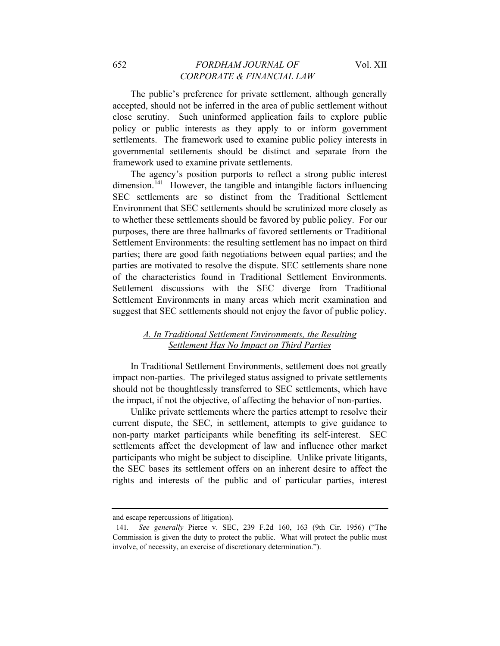The public's preference for private settlement, although generally accepted, should not be inferred in the area of public settlement without close scrutiny. Such uninformed application fails to explore public policy or public interests as they apply to or inform government settlements. The framework used to examine public policy interests in governmental settlements should be distinct and separate from the framework used to examine private settlements.

The agency's position purports to reflect a strong public interest dimension.<sup>[141](#page-26-0)</sup> However, the tangible and intangible factors influencing SEC settlements are so distinct from the Traditional Settlement Environment that SEC settlements should be scrutinized more closely as to whether these settlements should be favored by public policy. For our purposes, there are three hallmarks of favored settlements or Traditional Settlement Environments: the resulting settlement has no impact on third parties; there are good faith negotiations between equal parties; and the parties are motivated to resolve the dispute. SEC settlements share none of the characteristics found in Traditional Settlement Environments. Settlement discussions with the SEC diverge from Traditional Settlement Environments in many areas which merit examination and suggest that SEC settlements should not enjoy the favor of public policy.

# *A. In Traditional Settlement Environments, the Resulting Settlement Has No Impact on Third Parties*

In Traditional Settlement Environments, settlement does not greatly impact non-parties. The privileged status assigned to private settlements should not be thoughtlessly transferred to SEC settlements, which have the impact, if not the objective, of affecting the behavior of non-parties.

Unlike private settlements where the parties attempt to resolve their current dispute, the SEC, in settlement, attempts to give guidance to non-party market participants while benefiting its self-interest. SEC settlements affect the development of law and influence other market participants who might be subject to discipline. Unlike private litigants, the SEC bases its settlement offers on an inherent desire to affect the rights and interests of the public and of particular parties, interest

and escape repercussions of litigation).

<span id="page-26-0"></span><sup>141</sup>*. See generally* Pierce v. SEC, 239 F.2d 160, 163 (9th Cir. 1956) ("The Commission is given the duty to protect the public. What will protect the public must involve, of necessity, an exercise of discretionary determination.").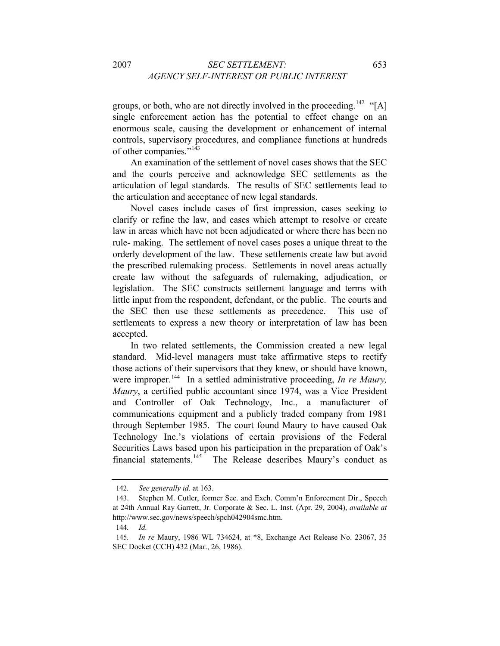groups, or both, who are not directly involved in the proceeding.<sup>[142](#page-27-0)</sup> "[A] single enforcement action has the potential to effect change on an enormous scale, causing the development or enhancement of internal controls, supervisory procedures, and compliance functions at hundreds of other companies."<sup>[143](#page-27-1)</sup>

An examination of the settlement of novel cases shows that the SEC and the courts perceive and acknowledge SEC settlements as the articulation of legal standards. The results of SEC settlements lead to the articulation and acceptance of new legal standards.

Novel cases include cases of first impression, cases seeking to clarify or refine the law, and cases which attempt to resolve or create law in areas which have not been adjudicated or where there has been no rule- making. The settlement of novel cases poses a unique threat to the orderly development of the law. These settlements create law but avoid the prescribed rulemaking process. Settlements in novel areas actually create law without the safeguards of rulemaking, adjudication, or legislation. The SEC constructs settlement language and terms with little input from the respondent, defendant, or the public. The courts and the SEC then use these settlements as precedence. This use of settlements to express a new theory or interpretation of law has been accepted.

In two related settlements, the Commission created a new legal standard. Mid-level managers must take affirmative steps to rectify those actions of their supervisors that they knew, or should have known, were improper.<sup>[144](#page-27-2)</sup> In a settled administrative proceeding, *In re Maury*, *Maury*, a certified public accountant since 1974, was a Vice President and Controller of Oak Technology, Inc., a manufacturer of communications equipment and a publicly traded company from 1981 through September 1985. The court found Maury to have caused Oak Technology Inc.'s violations of certain provisions of the Federal Securities Laws based upon his participation in the preparation of Oak's financial statements.<sup>[145](#page-27-3)</sup> The Release describes Maury's conduct as

<sup>142</sup>*. See generally id.* at 163.

<span id="page-27-1"></span><span id="page-27-0"></span><sup>143.</sup> Stephen M. Cutler, former Sec. and Exch. Comm'n Enforcement Dir., Speech at 24th Annual Ray Garrett, Jr. Corporate & Sec. L. Inst. (Apr. 29, 2004), *available at* http://www.sec.gov/news/speech/spch042904smc.htm.

<sup>144</sup>*. Id.*

<span id="page-27-3"></span><span id="page-27-2"></span><sup>145</sup>*. In re* Maury, 1986 WL 734624, at \*8, Exchange Act Release No. 23067, 35 SEC Docket (CCH) 432 (Mar., 26, 1986).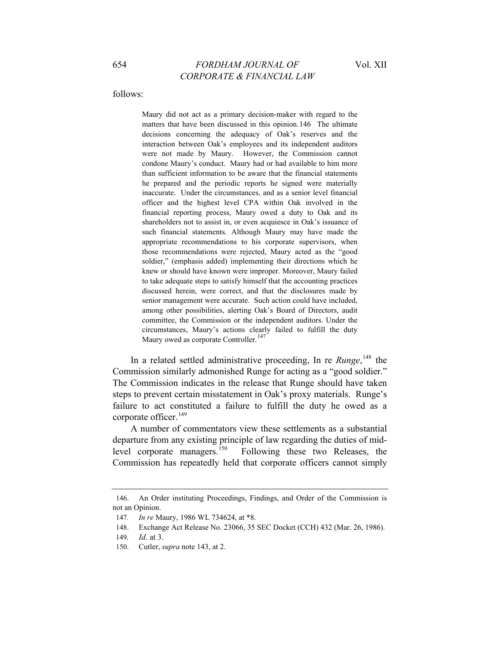#### follows:

Maury did not act as a primary decision-maker with regard to the matters that have been discussed in this opinion.[146](#page-28-0) The ultimate decisions concerning the adequacy of Oak's reserves and the interaction between Oak's employees and its independent auditors were not made by Maury. However, the Commission cannot condone Maury's conduct. Maury had or had available to him more than sufficient information to be aware that the financial statements he prepared and the periodic reports he signed were materially inaccurate. Under the circumstances, and as a senior level financial officer and the highest level CPA within Oak involved in the financial reporting process, Maury owed a duty to Oak and its shareholders not to assist in, or even acquiesce in Oak's issuance of such financial statements. Although Maury may have made the appropriate recommendations to his corporate supervisors, when those recommendations were rejected, Maury acted as the "good soldier," (emphasis added) implementing their directions which he knew or should have known were improper. Moreover, Maury failed to take adequate steps to satisfy himself that the accounting practices discussed herein, were correct, and that the disclosures made by senior management were accurate. Such action could have included, among other possibilities, alerting Oak's Board of Directors, audit committee, the Commission or the independent auditors. Under the circumstances, Maury's actions clearly failed to fulfill the duty Maury owed as corporate Controller.<sup>[147](#page-28-1)</sup>

In a related settled administrative proceeding, In re *Runge*, [148](#page-28-2) the Commission similarly admonished Runge for acting as a "good soldier." The Commission indicates in the release that Runge should have taken steps to prevent certain misstatement in Oak's proxy materials. Runge's failure to act constituted a failure to fulfill the duty he owed as a corporate officer.<sup>[149](#page-28-3)</sup>

A number of commentators view these settlements as a substantial departure from any existing principle of law regarding the duties of mid-level corporate managers.<sup>[150](#page-28-4)</sup> Following these two Releases, the Commission has repeatedly held that corporate officers cannot simply

<span id="page-28-1"></span><span id="page-28-0"></span><sup>146.</sup> An Order instituting Proceedings, Findings, and Order of the Commission is not an Opinion.

<span id="page-28-2"></span><sup>147</sup>*. In re* Maury, 1986 WL 734624, at \*8.

<sup>148.</sup> Exchange Act Release No. 23066, 35 SEC Docket (CCH) 432 (Mar. 26, 1986).

<span id="page-28-3"></span><sup>149</sup>*. Id*. at 3.

<span id="page-28-4"></span><sup>150.</sup> Cutler, *supra* note 143, at 2.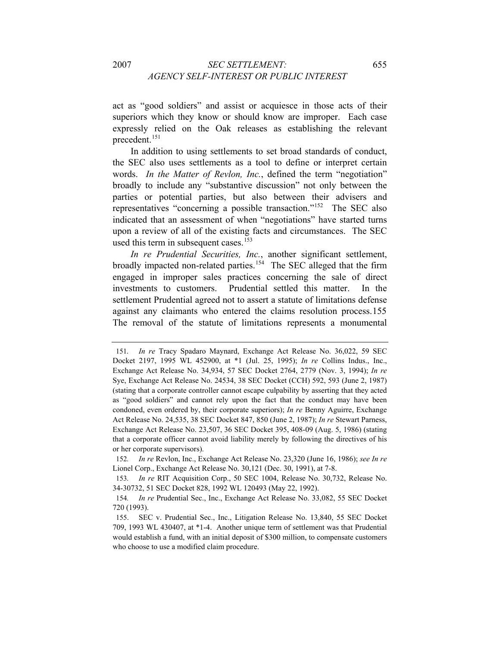act as "good soldiers" and assist or acquiesce in those acts of their superiors which they know or should know are improper. Each case expressly relied on the Oak releases as establishing the relevant precedent.<sup>[151](#page-29-0)</sup>

In addition to using settlements to set broad standards of conduct, the SEC also uses settlements as a tool to define or interpret certain words. *In the Matter of Revlon, Inc.*, defined the term "negotiation" broadly to include any "substantive discussion" not only between the parties or potential parties, but also between their advisers and representatives "concerning a possible transaction."[152](#page-29-1) The SEC also indicated that an assessment of when "negotiations" have started turns upon a review of all of the existing facts and circumstances. The SEC used this term in subsequent cases.<sup>[153](#page-29-2)</sup>

*In re Prudential Securities, Inc.*, another significant settlement, broadly impacted non-related parties.<sup>[154](#page-29-3)</sup> The SEC alleged that the firm engaged in improper sales practices concerning the sale of direct investments to customers. Prudential settled this matter. In the settlement Prudential agreed not to assert a statute of limitations defense against any claimants who entered the claims resolution process.[155](#page-29-4) The removal of the statute of limitations represents a monumental

<span id="page-29-0"></span><sup>151</sup>*. In re* Tracy Spadaro Maynard, Exchange Act Release No. 36,022, 59 SEC Docket 2197, 1995 WL 452900, at \*1 (Jul. 25, 1995); *In re* Collins Indus., Inc., Exchange Act Release No. 34,934, 57 SEC Docket 2764, 2779 (Nov. 3, 1994); *In re* Sye, Exchange Act Release No. 24534, 38 SEC Docket (CCH) 592, 593 (June 2, 1987) (stating that a corporate controller cannot escape culpability by asserting that they acted as "good soldiers" and cannot rely upon the fact that the conduct may have been condoned, even ordered by, their corporate superiors); *In re* Benny Aguirre, Exchange Act Release No. 24,535, 38 SEC Docket 847, 850 (June 2, 1987); *In re* Stewart Parness, Exchange Act Release No. 23,507, 36 SEC Docket 395, 408-09 (Aug. 5, 1986) (stating that a corporate officer cannot avoid liability merely by following the directives of his or her corporate supervisors).

<span id="page-29-1"></span><sup>152</sup>*. In re* Revlon, Inc., Exchange Act Release No. 23,320 (June 16, 1986); *see In re* Lionel Corp., Exchange Act Release No. 30,121 (Dec. 30, 1991), at 7-8.

<span id="page-29-2"></span><sup>153</sup>*. In re* RIT Acquisition Corp., 50 SEC 1004, Release No. 30,732, Release No. 34-30732, 51 SEC Docket 828, 1992 WL 120493 (May 22, 1992).

<span id="page-29-3"></span><sup>154</sup>*. In re* Prudential Sec., Inc., Exchange Act Release No. 33,082, 55 SEC Docket 720 (1993).

<span id="page-29-4"></span><sup>155.</sup> SEC v. Prudential Sec., Inc., Litigation Release No. 13,840, 55 SEC Docket 709, 1993 WL 430407, at \*1-4. Another unique term of settlement was that Prudential would establish a fund, with an initial deposit of \$300 million, to compensate customers who choose to use a modified claim procedure.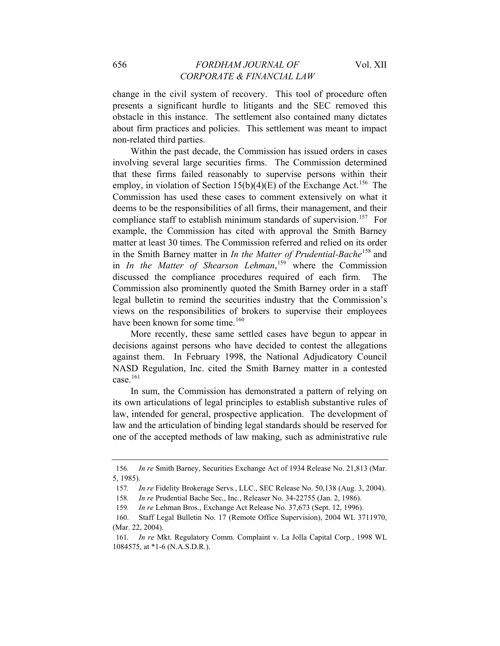change in the civil system of recovery. This tool of procedure often presents a significant hurdle to litigants and the SEC removed this obstacle in this instance. The settlement also contained many dictates about firm practices and policies. This settlement was meant to impact non-related third parties.

Within the past decade, the Commission has issued orders in cases involving several large securities firms. The Commission determined that these firms failed reasonably to supervise persons within their employ, in violation of Section 15(b)(4)(E) of the Exchange Act.<sup>[156](#page-30-0)</sup> The Commission has used these cases to comment extensively on what it deems to be the responsibilities of all firms, their management, and their compliance staff to establish minimum standards of supervision.<sup>[157](#page-30-1)</sup> For example, the Commission has cited with approval the Smith Barney matter at least 30 times. The Commission referred and relied on its order in the Smith Barney matter in *In the Matter of Prudential-Bache*[158](#page-30-2) and in *In the Matter of Shearson Lehman*, [159](#page-30-3) where the Commission discussed the compliance procedures required of each firm. The Commission also prominently quoted the Smith Barney order in a staff legal bulletin to remind the securities industry that the Commission's views on the responsibilities of brokers to supervise their employees have been known for some time.<sup>[160](#page-30-4)</sup>

More recently, these same settled cases have begun to appear in decisions against persons who have decided to contest the allegations against them. In February 1998, the National Adjudicatory Council NASD Regulation, Inc. cited the Smith Barney matter in a contested case. $161$ 

In sum, the Commission has demonstrated a pattern of relying on its own articulations of legal principles to establish substantive rules of law, intended for general, prospective application. The development of law and the articulation of binding legal standards should be reserved for one of the accepted methods of law making, such as administrative rule

<span id="page-30-1"></span><span id="page-30-0"></span><sup>156</sup>*. In re* Smith Barney, Securities Exchange Act of 1934 Release No. 21,813 (Mar. 5, 1985).

<sup>157</sup>*. In re* Fidelity Brokerage Servs*.*, LLC., SEC Release No. 50,138 (Aug. 3, 2004).

<sup>158</sup>*. In re* Prudential Bache Sec., Inc*.*, Releaser No. 34-22755 (Jan. 2, 1986).

<sup>159</sup>*. In re* Lehman Bros., Exchange Act Release No. 37,673 (Sept. 12, 1996).

<span id="page-30-4"></span><span id="page-30-3"></span><span id="page-30-2"></span><sup>160.</sup> Staff Legal Bulletin No. 17 (Remote Office Supervision), 2004 WL 3711970, (Mar. 22, 2004).

<span id="page-30-5"></span><sup>161</sup>*. In re* Mkt. Regulatory Comm. Complaint v. La Jolla Capital Corp*.*, 1998 WL 1084575, at \*1-6 (N.A.S.D.R.).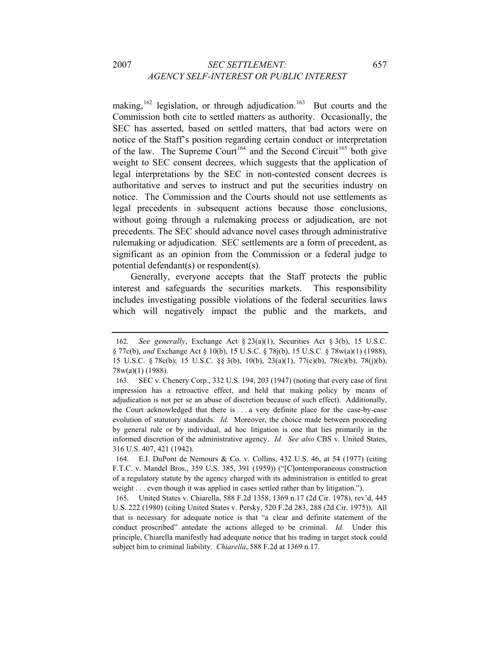making,<sup>[162](#page-31-0)</sup> legislation, or through adjudication.<sup>[163](#page-31-1)</sup> But courts and the Commission both cite to settled matters as authority. Occasionally, the SEC has asserted, based on settled matters, that bad actors were on notice of the Staff's position regarding certain conduct or interpretation of the law. The Supreme Court<sup>[164](#page-31-2)</sup> and the Second Circuit<sup>[165](#page-31-3)</sup> both give weight to SEC consent decrees, which suggests that the application of legal interpretations by the SEC in non-contested consent decrees is authoritative and serves to instruct and put the securities industry on notice. The Commission and the Courts should not use settlements as legal precedents in subsequent actions because those conclusions, without going through a rulemaking process or adjudication, are not precedents. The SEC should advance novel cases through administrative rulemaking or adjudication. SEC settlements are a form of precedent, as significant as an opinion from the Commission or a federal judge to potential defendant(s) or respondent(s).

Generally, everyone accepts that the Staff protects the public interest and safeguards the securities markets. This responsibility includes investigating possible violations of the federal securities laws which will negatively impact the public and the markets, and

<span id="page-31-0"></span><sup>162</sup>*. See generally*, Exchange Act § 23(a)(1), Securities Act § 3(b), 15 U.S.C. § 77c(b), *and* Exchange Act § 10(b), 15 U.S.C. § 78j(b), 15 U.S.C. § 78w(a)(1) (1988), 15 U.S.C. § 78c(b); 15 U.S.C. §§ 3(b), 10(b), 23(a)(1), 77(c)(b), 78(c)(b), 78(j)(b), 78w(a)(1) (1988).

<span id="page-31-1"></span><sup>163.</sup> SEC v. Chenery Corp., 332 U.S. 194, 203 (1947) (noting that every case of first impression has a retroactive effect, and held that making policy by means of adjudication is not per se an abuse of discretion because of such effect). Additionally, the Court acknowledged that there is . . . a very definite place for the case-by-case evolution of statutory standards. *Id.* Moreover, the choice made between proceeding by general rule or by individual, ad hoc litigation is one that lies primarily in the informed discretion of the administrative agency. *Id. See also* CBS v. United States, 316 U.S. 407, 421 (1942).

<span id="page-31-2"></span><sup>164.</sup> E.I. DuPont de Nemours & Co. v. Collins, 432 U.S. 46, at 54 (1977) (citing F.T.C. v. Mandel Bros., 359 U.S. 385, 391 (1959)) ("[C]ontemporaneous construction of a regulatory statute by the agency charged with its administration is entitled to great weight . . . even though it was applied in cases settled rather than by litigation.").

<span id="page-31-3"></span><sup>165.</sup> United States v. Chiarella, 588 F.2d 1358, 1369 n.17 (2d Cir. 1978), rev'd, 445 U.S. 222 (1980) (citing United States v. Persky, 520 F.2d 283, 288 (2d Cir. 1975)). All that is necessary for adequate notice is that "a clear and definite statement of the conduct proscribed" antedate the actions alleged to be criminal. *Id.* Under this principle, Chiarella manifestly had adequate notice that his trading in target stock could subject him to criminal liability. *Chiarella*, 588 F.2d at 1369 n.17.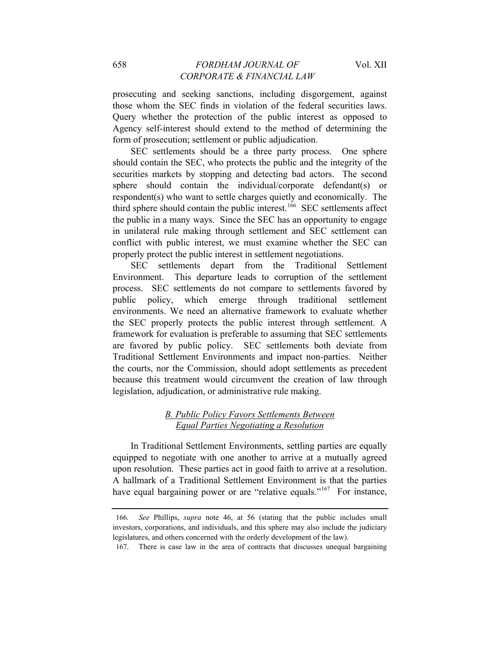prosecuting and seeking sanctions, including disgorgement, against those whom the SEC finds in violation of the federal securities laws. Query whether the protection of the public interest as opposed to Agency self-interest should extend to the method of determining the form of prosecution; settlement or public adjudication.

SEC settlements should be a three party process. One sphere should contain the SEC, who protects the public and the integrity of the securities markets by stopping and detecting bad actors. The second sphere should contain the individual/corporate defendant(s) or respondent(s) who want to settle charges quietly and economically. The third sphere should contain the public interest.<sup>[166](#page-32-0)</sup> SEC settlements affect the public in a many ways. Since the SEC has an opportunity to engage in unilateral rule making through settlement and SEC settlement can conflict with public interest, we must examine whether the SEC can properly protect the public interest in settlement negotiations.

SEC settlements depart from the Traditional Settlement Environment. This departure leads to corruption of the settlement process. SEC settlements do not compare to settlements favored by public policy, which emerge through traditional settlement environments. We need an alternative framework to evaluate whether the SEC properly protects the public interest through settlement. A framework for evaluation is preferable to assuming that SEC settlements are favored by public policy. SEC settlements both deviate from Traditional Settlement Environments and impact non-parties. Neither the courts, nor the Commission, should adopt settlements as precedent because this treatment would circumvent the creation of law through legislation, adjudication, or administrative rule making.

# *B. Public Policy Favors Settlements Between Equal Parties Negotiating a Resolution*

In Traditional Settlement Environments, settling parties are equally equipped to negotiate with one another to arrive at a mutually agreed upon resolution. These parties act in good faith to arrive at a resolution. A hallmark of a Traditional Settlement Environment is that the parties have equal bargaining power or are "relative equals."<sup>[167](#page-32-1)</sup> For instance,

<span id="page-32-0"></span><sup>166</sup>*. See* Phillips, *supra* note 46, at 56 (stating that the public includes small investors, corporations, and individuals, and this sphere may also include the judiciary legislatures, and others concerned with the orderly development of the law).

<span id="page-32-1"></span><sup>167.</sup> There is case law in the area of contracts that discusses unequal bargaining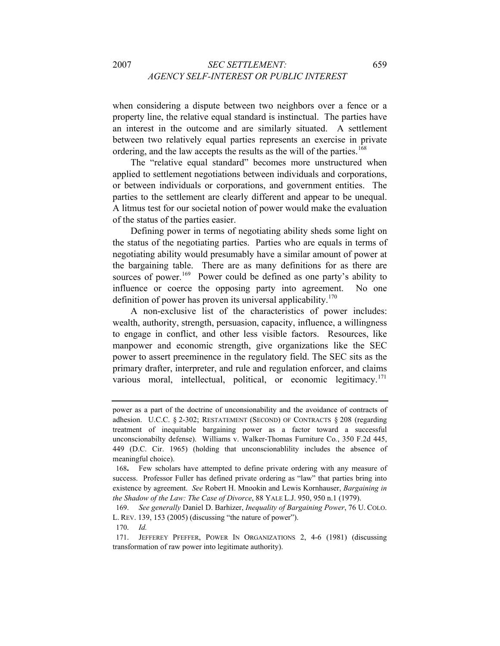when considering a dispute between two neighbors over a fence or a property line, the relative equal standard is instinctual. The parties have an interest in the outcome and are similarly situated. A settlement between two relatively equal parties represents an exercise in private ordering, and the law accepts the results as the will of the parties.<sup>[168](#page-33-0)</sup>

The "relative equal standard" becomes more unstructured when applied to settlement negotiations between individuals and corporations, or between individuals or corporations, and government entities. The parties to the settlement are clearly different and appear to be unequal. A litmus test for our societal notion of power would make the evaluation of the status of the parties easier.

Defining power in terms of negotiating ability sheds some light on the status of the negotiating parties. Parties who are equals in terms of negotiating ability would presumably have a similar amount of power at the bargaining table. There are as many definitions for as there are sources of power.<sup>[169](#page-33-1)</sup> Power could be defined as one party's ability to influence or coerce the opposing party into agreement. No one definition of power has proven its universal applicability.<sup>[170](#page-33-2)</sup>

A non-exclusive list of the characteristics of power includes: wealth, authority, strength, persuasion, capacity, influence, a willingness to engage in conflict, and other less visible factors. Resources, like manpower and economic strength, give organizations like the SEC power to assert preeminence in the regulatory field. The SEC sits as the primary drafter, interpreter, and rule and regulation enforcer, and claims various moral, intellectual, political, or economic legitimacy.<sup>[171](#page-33-3)</sup>

170. *Id.*

power as a part of the doctrine of unconsionability and the avoidance of contracts of adhesion. U.C.C. § 2-302; RESTATEMENT (SECOND) OF CONTRACTS § 208 (regarding treatment of inequitable bargaining power as a factor toward a successful unconscionabilty defense). Williams v. Walker-Thomas Furniture Co*.*, 350 F.2d 445, 449 (D.C. Cir. 1965) (holding that unconscionablility includes the absence of meaningful choice).

<span id="page-33-0"></span><sup>168</sup>**.** Few scholars have attempted to define private ordering with any measure of success. Professor Fuller has defined private ordering as "law" that parties bring into existence by agreement. *See* Robert H. Mnookin and Lewis Kornhauser, *Bargaining in the Shadow of the Law: The Case of Divorce*, 88 YALE L.J. 950, 950 n.1 (1979).

<span id="page-33-1"></span><sup>169.</sup> *See generally* Daniel D. Barhizer, *Inequality of Bargaining Power*, 76 U. COLO. L. REV. 139, 153 (2005) (discussing "the nature of power").

<span id="page-33-3"></span><span id="page-33-2"></span><sup>171.</sup> JEFFEREY PFEFFER, POWER IN ORGANIZATIONS 2, 4-6 (1981) (discussing transformation of raw power into legitimate authority).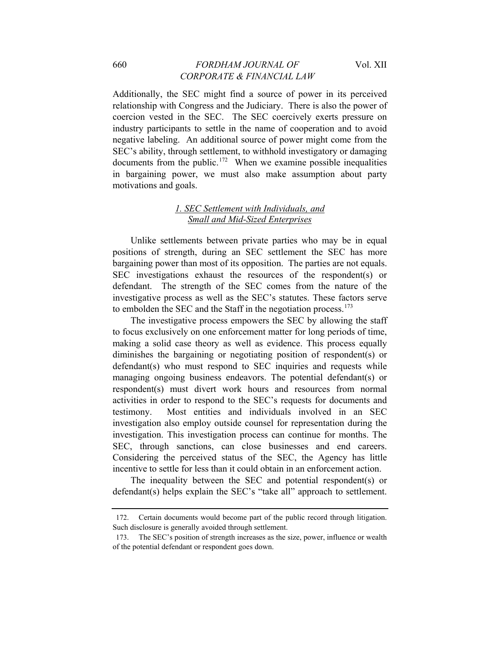Additionally, the SEC might find a source of power in its perceived relationship with Congress and the Judiciary. There is also the power of coercion vested in the SEC. The SEC coercively exerts pressure on industry participants to settle in the name of cooperation and to avoid negative labeling. An additional source of power might come from the SEC's ability, through settlement, to withhold investigatory or damaging documents from the public.<sup>[172](#page-34-0)</sup> When we examine possible inequalities in bargaining power, we must also make assumption about party motivations and goals.

# *1. SEC Settlement with Individuals, and Small and Mid-Sized Enterprises*

Unlike settlements between private parties who may be in equal positions of strength, during an SEC settlement the SEC has more bargaining power than most of its opposition. The parties are not equals. SEC investigations exhaust the resources of the respondent(s) or defendant. The strength of the SEC comes from the nature of the investigative process as well as the SEC's statutes. These factors serve to embolden the SEC and the Staff in the negotiation process.<sup>[173](#page-34-1)</sup>

The investigative process empowers the SEC by allowing the staff to focus exclusively on one enforcement matter for long periods of time, making a solid case theory as well as evidence. This process equally diminishes the bargaining or negotiating position of respondent(s) or defendant(s) who must respond to SEC inquiries and requests while managing ongoing business endeavors. The potential defendant(s) or respondent(s) must divert work hours and resources from normal activities in order to respond to the SEC's requests for documents and testimony. Most entities and individuals involved in an SEC investigation also employ outside counsel for representation during the investigation. This investigation process can continue for months. The SEC, through sanctions, can close businesses and end careers. Considering the perceived status of the SEC, the Agency has little incentive to settle for less than it could obtain in an enforcement action.

The inequality between the SEC and potential respondent(s) or defendant(s) helps explain the SEC's "take all" approach to settlement.

<span id="page-34-0"></span><sup>172.</sup> Certain documents would become part of the public record through litigation. Such disclosure is generally avoided through settlement.

<span id="page-34-1"></span><sup>173.</sup> The SEC's position of strength increases as the size, power, influence or wealth of the potential defendant or respondent goes down.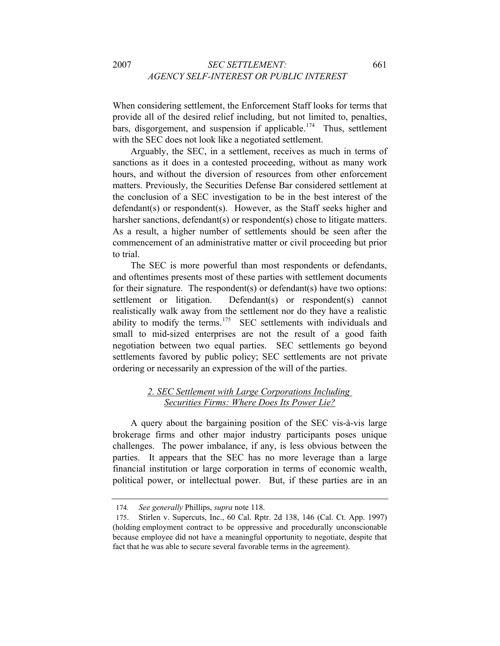When considering settlement, the Enforcement Staff looks for terms that provide all of the desired relief including, but not limited to, penalties, bars, disgorgement, and suspension if applicable.<sup>[174](#page-35-0)</sup> Thus, settlement with the SEC does not look like a negotiated settlement.

Arguably, the SEC, in a settlement, receives as much in terms of sanctions as it does in a contested proceeding, without as many work hours, and without the diversion of resources from other enforcement matters. Previously, the Securities Defense Bar considered settlement at the conclusion of a SEC investigation to be in the best interest of the defendant(s) or respondent(s). However, as the Staff seeks higher and harsher sanctions, defendant(s) or respondent(s) chose to litigate matters. As a result, a higher number of settlements should be seen after the commencement of an administrative matter or civil proceeding but prior to trial.

The SEC is more powerful than most respondents or defendants, and oftentimes presents most of these parties with settlement documents for their signature. The respondent (s) or defendant (s) have two options: settlement or litigation. Defendant(s) or respondent(s) cannot realistically walk away from the settlement nor do they have a realistic ability to modify the terms.<sup>[175](#page-35-1)</sup> SEC settlements with individuals and small to mid-sized enterprises are not the result of a good faith negotiation between two equal parties. SEC settlements go beyond settlements favored by public policy; SEC settlements are not private ordering or necessarily an expression of the will of the parties.

# *2. SEC Settlement with Large Corporations Including Securities Firms: Where Does Its Power Lie?*

A query about the bargaining position of the SEC vis-à-vis large brokerage firms and other major industry participants poses unique challenges. The power imbalance, if any, is less obvious between the parties. It appears that the SEC has no more leverage than a large financial institution or large corporation in terms of economic wealth, political power, or intellectual power. But, if these parties are in an

<sup>174</sup>*. See generally* Phillips, *supra* note 118.

<span id="page-35-1"></span><span id="page-35-0"></span><sup>175.</sup> Stirlen v. Supercuts, Inc., 60 Cal. Rptr. 2d 138, 146 (Cal. Ct. App. 1997) (holding employment contract to be oppressive and procedurally unconscionable because employee did not have a meaningful opportunity to negotiate, despite that fact that he was able to secure several favorable terms in the agreement).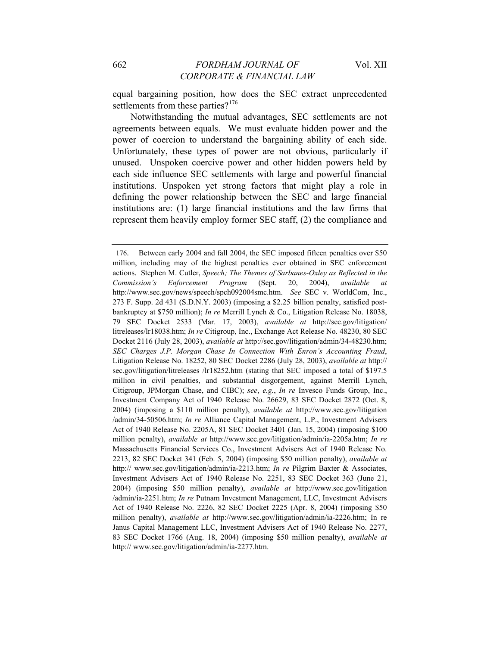equal bargaining position, how does the SEC extract unprecedented settlements from these parties?<sup>[176](#page-36-0)</sup>

Notwithstanding the mutual advantages, SEC settlements are not agreements between equals. We must evaluate hidden power and the power of coercion to understand the bargaining ability of each side. Unfortunately, these types of power are not obvious, particularly if unused. Unspoken coercive power and other hidden powers held by each side influence SEC settlements with large and powerful financial institutions. Unspoken yet strong factors that might play a role in defining the power relationship between the SEC and large financial institutions are: (1) large financial institutions and the law firms that represent them heavily employ former SEC staff, (2) the compliance and

<span id="page-36-0"></span><sup>176.</sup> Between early 2004 and fall 2004, the SEC imposed fifteen penalties over \$50 million, including may of the highest penalties ever obtained in SEC enforcement actions. Stephen M. Cutler, *Speech; The Themes of Sarbanes-Oxley as Reflected in the Commission's Enforcement Program* (Sept. 20, 2004), *available at* http://www.sec.gov/news/speech/spch092004smc.htm. *See* SEC v. WorldCom, Inc., 273 F. Supp. 2d 431 (S.D.N.Y. 2003) (imposing a \$2.25 billion penalty, satisfied postbankruptcy at \$750 million); *In re* Merrill Lynch & Co., Litigation Release No. 18038, 79 SEC Docket 2533 (Mar. 17, 2003), *available at* http://sec.gov/litigation/ litreleases/lr18038.htm; *In re* Citigroup, Inc., Exchange Act Release No. 48230, 80 SEC Docket 2116 (July 28, 2003), *available at* http://sec.gov/litigation/admin/34-48230.htm; *SEC Charges J.P. Morgan Chase In Connection With Enron's Accounting Fraud*, Litigation Release No. 18252, 80 SEC Docket 2286 (July 28, 2003), *available at* http:// sec.gov/litigation/litreleases /lr18252.htm (stating that SEC imposed a total of \$197.5) million in civil penalties, and substantial disgorgement, against Merrill Lynch, Citigroup, JPMorgan Chase, and CIBC); *see*, *e.g.*, *In re* Invesco Funds Group, Inc., Investment Company Act of 1940 Release No. 26629, 83 SEC Docket 2872 (Oct. 8, 2004) (imposing a \$110 million penalty), *available at* http://www.sec.gov/litigation /admin/34-50506.htm; *In re* Alliance Capital Management, L.P., Investment Advisers Act of 1940 Release No. 2205A, 81 SEC Docket 3401 (Jan. 15, 2004) (imposing \$100 million penalty), *available at* http://www.sec.gov/litigation/admin/ia-2205a.htm; *In re* Massachusetts Financial Services Co., Investment Advisers Act of 1940 Release No. 2213, 82 SEC Docket 341 (Feb. 5, 2004) (imposing \$50 million penalty), *available at* http:// www.sec.gov/litigation/admin/ia-2213.htm; *In re* Pilgrim Baxter & Associates, Investment Advisers Act of 1940 Release No. 2251, 83 SEC Docket 363 (June 21, 2004) (imposing \$50 million penalty), *available at* http://www.sec.gov/litigation /admin/ia-2251.htm; *In re* Putnam Investment Management, LLC, Investment Advisers Act of 1940 Release No. 2226, 82 SEC Docket 2225 (Apr. 8, 2004) (imposing \$50 million penalty), *available at* http://www.sec.gov/litigation/admin/ia-2226.htm; In re Janus Capital Management LLC, Investment Advisers Act of 1940 Release No. 2277, 83 SEC Docket 1766 (Aug. 18, 2004) (imposing \$50 million penalty), *available at* http:// www.sec.gov/litigation/admin/ia-2277.htm.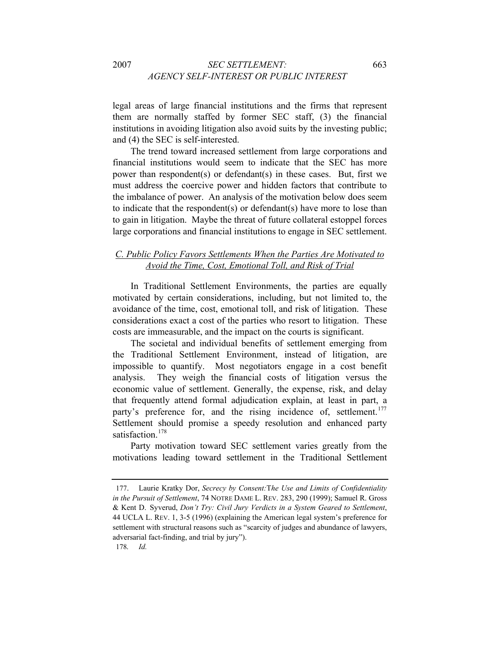legal areas of large financial institutions and the firms that represent them are normally staffed by former SEC staff, (3) the financial institutions in avoiding litigation also avoid suits by the investing public; and (4) the SEC is self-interested.

The trend toward increased settlement from large corporations and financial institutions would seem to indicate that the SEC has more power than respondent(s) or defendant(s) in these cases. But, first we must address the coercive power and hidden factors that contribute to the imbalance of power. An analysis of the motivation below does seem to indicate that the respondent(s) or defendant(s) have more to lose than to gain in litigation. Maybe the threat of future collateral estoppel forces large corporations and financial institutions to engage in SEC settlement.

# *C. Public Policy Favors Settlements When the Parties Are Motivated to Avoid the Time, Cost, Emotional Toll, and Risk of Trial*

In Traditional Settlement Environments, the parties are equally motivated by certain considerations, including, but not limited to, the avoidance of the time, cost, emotional toll, and risk of litigation. These considerations exact a cost of the parties who resort to litigation. These costs are immeasurable, and the impact on the courts is significant.

The societal and individual benefits of settlement emerging from the Traditional Settlement Environment, instead of litigation, are impossible to quantify. Most negotiators engage in a cost benefit analysis. They weigh the financial costs of litigation versus the economic value of settlement. Generally, the expense, risk, and delay that frequently attend formal adjudication explain, at least in part, a party's preference for, and the rising incidence of, settlement.<sup>[177](#page-37-0)</sup> Settlement should promise a speedy resolution and enhanced party satisfaction.<sup>[178](#page-37-1)</sup>

Party motivation toward SEC settlement varies greatly from the motivations leading toward settlement in the Traditional Settlement

<span id="page-37-1"></span><span id="page-37-0"></span><sup>177.</sup> Laurie Kratky Dor, *Secrecy by Consent:*T*he Use and Limits of Confidentiality in the Pursuit of Settlement*, 74 NOTRE DAME L. REV. 283, 290 (1999); Samuel R. Gross & Kent D. Syverud, *Don't Try: Civil Jury Verdicts in a System Geared to Settlement*, 44 UCLA L. REV. 1, 3-5 (1996) (explaining the American legal system's preference for settlement with structural reasons such as "scarcity of judges and abundance of lawyers, adversarial fact-finding, and trial by jury"). 178*. Id.*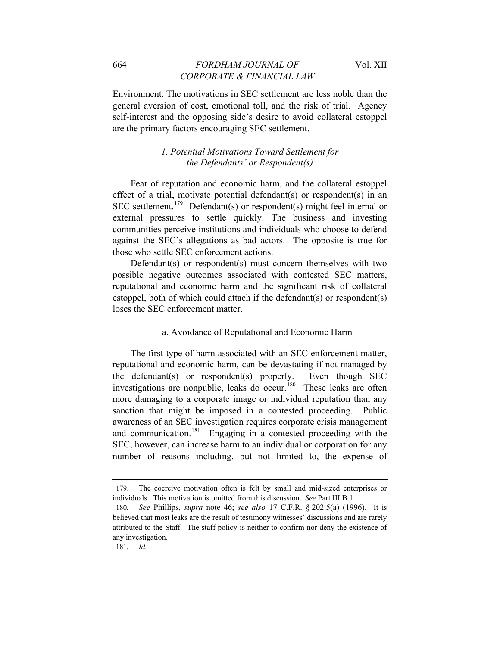Environment. The motivations in SEC settlement are less noble than the general aversion of cost, emotional toll, and the risk of trial. Agency self-interest and the opposing side's desire to avoid collateral estoppel are the primary factors encouraging SEC settlement.

# *1. Potential Motivations Toward Settlement for the Defendants' or Respondent(s)*

Fear of reputation and economic harm, and the collateral estoppel effect of a trial, motivate potential defendant(s) or respondent(s) in an SEC settlement.<sup>[179](#page-38-0)</sup> Defendant(s) or respondent(s) might feel internal or external pressures to settle quickly. The business and investing communities perceive institutions and individuals who choose to defend against the SEC's allegations as bad actors. The opposite is true for those who settle SEC enforcement actions.

Defendant(s) or respondent(s) must concern themselves with two possible negative outcomes associated with contested SEC matters, reputational and economic harm and the significant risk of collateral estoppel, both of which could attach if the defendant(s) or respondent(s) loses the SEC enforcement matter.

# a. Avoidance of Reputational and Economic Harm

The first type of harm associated with an SEC enforcement matter, reputational and economic harm, can be devastating if not managed by the defendant(s) or respondent(s) properly. Even though SEC investigations are nonpublic, leaks do occur.<sup>[180](#page-38-1)</sup> These leaks are often more damaging to a corporate image or individual reputation than any sanction that might be imposed in a contested proceeding. Public awareness of an SEC investigation requires corporate crisis management and communication.<sup>[181](#page-38-2)</sup> Engaging in a contested proceeding with the SEC, however, can increase harm to an individual or corporation for any number of reasons including, but not limited to, the expense of

<span id="page-38-0"></span><sup>179.</sup> The coercive motivation often is felt by small and mid-sized enterprises or individuals. This motivation is omitted from this discussion. *See* Part III.B.1.

<span id="page-38-1"></span><sup>180</sup>*. See* Phillips, *supra* note 46; *see also* 17 C.F.R. § 202.5(a) (1996). It is believed that most leaks are the result of testimony witnesses' discussions and are rarely attributed to the Staff. The staff policy is neither to confirm nor deny the existence of any investigation.

<span id="page-38-2"></span><sup>181</sup>*. Id.*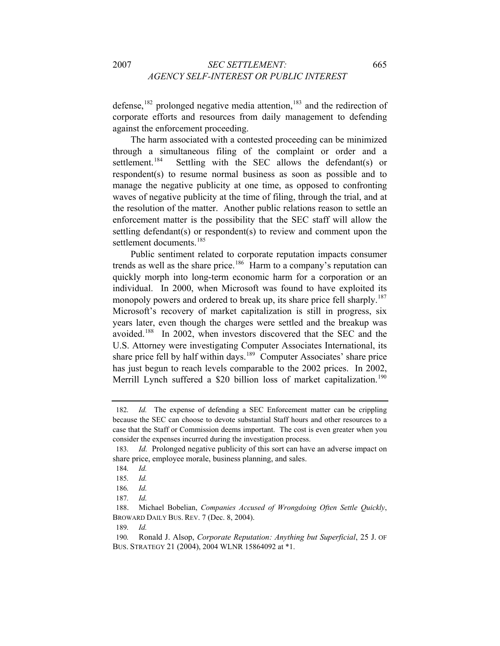defense,<sup>[182](#page-39-0)</sup> prolonged negative media attention,<sup>[183](#page-39-1)</sup> and the redirection of corporate efforts and resources from daily management to defending against the enforcement proceeding.

The harm associated with a contested proceeding can be minimized through a simultaneous filing of the complaint or order and a settlement.<sup>[184](#page-39-2)</sup> Settling with the SEC allows the defendant(s) or respondent(s) to resume normal business as soon as possible and to manage the negative publicity at one time, as opposed to confronting waves of negative publicity at the time of filing, through the trial, and at the resolution of the matter. Another public relations reason to settle an enforcement matter is the possibility that the SEC staff will allow the settling defendant(s) or respondent(s) to review and comment upon the settlement documents.<sup>[185](#page-39-3)</sup>

Public sentiment related to corporate reputation impacts consumer trends as well as the share price.<sup>[186](#page-39-4)</sup> Harm to a company's reputation can quickly morph into long-term economic harm for a corporation or an individual. In 2000, when Microsoft was found to have exploited its monopoly powers and ordered to break up, its share price fell sharply.<sup>[187](#page-39-5)</sup> Microsoft's recovery of market capitalization is still in progress, six years later, even though the charges were settled and the breakup was avoided.[188](#page-39-6) In 2002, when investors discovered that the SEC and the U.S. Attorney were investigating Computer Associates International, its share price fell by half within days.<sup>[189](#page-39-7)</sup> Computer Associates' share price has just begun to reach levels comparable to the 2002 prices. In 2002, Merrill Lynch suffered a \$20 billion loss of market capitalization.<sup>[190](#page-39-8)</sup>

<span id="page-39-0"></span><sup>182</sup>*. Id.* The expense of defending a SEC Enforcement matter can be crippling because the SEC can choose to devote substantial Staff hours and other resources to a case that the Staff or Commission deems important. The cost is even greater when you consider the expenses incurred during the investigation process.

<span id="page-39-2"></span><span id="page-39-1"></span><sup>183</sup>*. Id.* Prolonged negative publicity of this sort can have an adverse impact on share price, employee morale, business planning, and sales.

<span id="page-39-3"></span><sup>184</sup>*. Id.*

<sup>185</sup>*. Id.*

<sup>186</sup>*. Id.*

<sup>187</sup>*. Id.*

<span id="page-39-6"></span><span id="page-39-5"></span><span id="page-39-4"></span><sup>188.</sup> Michael Bobelian, *Companies Accused of Wrongdoing Often Settle Quickly*, BROWARD DAILY BUS. REV. 7 (Dec. 8, 2004).

<sup>189</sup>*. Id.*

<span id="page-39-8"></span><span id="page-39-7"></span><sup>190</sup>*.* Ronald J. Alsop, *Corporate Reputation: Anything but Superficial*, 25 J. OF BUS. STRATEGY 21 (2004), 2004 WLNR 15864092 at \*1.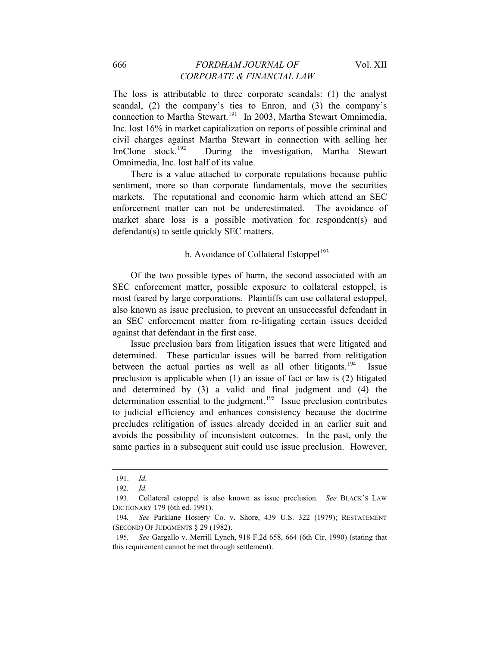The loss is attributable to three corporate scandals: (1) the analyst scandal, (2) the company's ties to Enron, and (3) the company's connection to Martha Stewart.<sup>[191](#page-40-0)</sup> In 2003, Martha Stewart Omnimedia, Inc. lost 16% in market capitalization on reports of possible criminal and civil charges against Martha Stewart in connection with selling her ImClone stock.<sup>[192](#page-40-1)</sup> During the investigation, Martha Stewart Omnimedia, Inc. lost half of its value.

There is a value attached to corporate reputations because public sentiment, more so than corporate fundamentals, move the securities markets. The reputational and economic harm which attend an SEC enforcement matter can not be underestimated. The avoidance of market share loss is a possible motivation for respondent(s) and defendant(s) to settle quickly SEC matters.

# b. Avoidance of Collateral Estoppel<sup>[193](#page-40-2)</sup>

Of the two possible types of harm, the second associated with an SEC enforcement matter, possible exposure to collateral estoppel, is most feared by large corporations. Plaintiffs can use collateral estoppel, also known as issue preclusion, to prevent an unsuccessful defendant in an SEC enforcement matter from re-litigating certain issues decided against that defendant in the first case.

Issue preclusion bars from litigation issues that were litigated and determined. These particular issues will be barred from relitigation between the actual parties as well as all other litigants.<sup>[194](#page-40-3)</sup> Issue preclusion is applicable when (1) an issue of fact or law is (2) litigated and determined by (3) a valid and final judgment and (4) the determination essential to the judgment.<sup>[195](#page-40-4)</sup> Issue preclusion contributes to judicial efficiency and enhances consistency because the doctrine precludes relitigation of issues already decided in an earlier suit and avoids the possibility of inconsistent outcomes. In the past, only the same parties in a subsequent suit could use issue preclusion. However,

<sup>191.</sup> *Id.*

<sup>192</sup>*. Id.*

<span id="page-40-2"></span><span id="page-40-1"></span><span id="page-40-0"></span><sup>193.</sup> Collateral estoppel is also known as issue preclusion. *See* BLACK'S LAW DICTIONARY 179 (6th ed. 1991).

<span id="page-40-3"></span><sup>194</sup>*. See* Parklane Hosiery Co. v. Shore, 439 U.S. 322 (1979); RESTATEMENT (SECOND) OF JUDGMENTS § 29 (1982).

<span id="page-40-4"></span><sup>195</sup>*. See* Gargallo v. Merrill Lynch, 918 F.2d 658, 664 (6th Cir. 1990) (stating that this requirement cannot be met through settlement).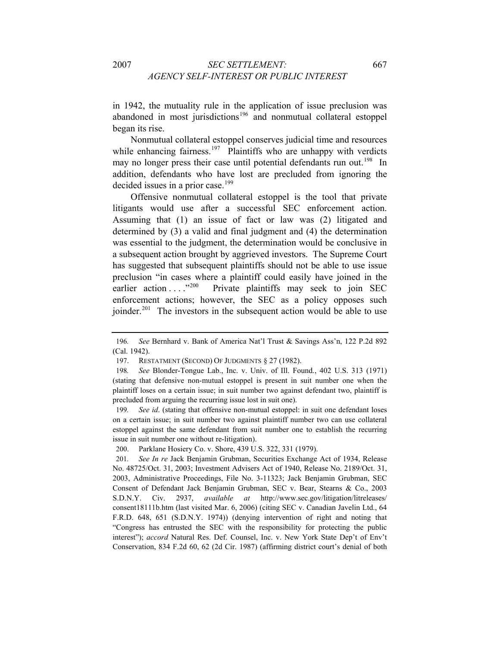in 1942, the mutuality rule in the application of issue preclusion was abandoned in most jurisdictions<sup>[196](#page-41-0)</sup> and nonmutual collateral estoppel began its rise.

Nonmutual collateral estoppel conserves judicial time and resources while enhancing fairness.<sup>[197](#page-41-1)</sup> Plaintiffs who are unhappy with verdicts may no longer press their case until potential defendants run out.<sup>[198](#page-41-2)</sup> In addition, defendants who have lost are precluded from ignoring the decided issues in a prior case.<sup>[199](#page-41-3)</sup>

Offensive nonmutual collateral estoppel is the tool that private litigants would use after a successful SEC enforcement action. Assuming that (1) an issue of fact or law was (2) litigated and determined by (3) a valid and final judgment and (4) the determination was essential to the judgment, the determination would be conclusive in a subsequent action brought by aggrieved investors. The Supreme Court has suggested that subsequent plaintiffs should not be able to use issue preclusion "in cases where a plaintiff could easily have joined in the earlier action  $\ldots$   $\ldots$  . Private plaintiffs may seek to join SEC enforcement actions; however, the SEC as a policy opposes such joinder.<sup>[201](#page-41-5)</sup> The investors in the subsequent action would be able to use

200. Parklane Hosiery Co. v. Shore, 439 U.S. 322, 331 (1979).

<span id="page-41-0"></span><sup>196</sup>*. See* Bernhard v. Bank of America Nat'l Trust & Savings Ass'n, 122 P.2d 892 (Cal. 1942).

<sup>197.</sup> RESTATMENT (SECOND) OF JUDGMENTS § 27 (1982).

<span id="page-41-2"></span><span id="page-41-1"></span><sup>198</sup>*. See* Blonder-Tongue Lab., Inc. v. Univ. of Ill. Found., 402 U.S. 313 (1971) (stating that defensive non-mutual estoppel is present in suit number one when the plaintiff loses on a certain issue; in suit number two against defendant two, plaintiff is precluded from arguing the recurring issue lost in suit one).

<span id="page-41-3"></span><sup>199</sup>*. See id*. (stating that offensive non-mutual estoppel: in suit one defendant loses on a certain issue; in suit number two against plaintiff number two can use collateral estoppel against the same defendant from suit number one to establish the recurring issue in suit number one without re-litigation).

<span id="page-41-5"></span><span id="page-41-4"></span><sup>201</sup>*. See In re* Jack Benjamin Grubman, Securities Exchange Act of 1934, Release No. 48725/Oct. 31, 2003; Investment Advisers Act of 1940, Release No. 2189/Oct. 31, 2003, Administrative Proceedings, File No. 3-11323; Jack Benjamin Grubman, SEC Consent of Defendant Jack Benjamin Grubman, SEC v. Bear, Stearns & Co., 2003 S.D.N.Y. Civ. 2937, *available at* http://www.sec.gov/litigation/litreleases/ consent18111b.htm (last visited Mar. 6, 2006) (citing SEC v. Canadian Javelin Ltd., 64 F.R.D. 648, 651 (S.D.N.Y. 1974)) (denying intervention of right and noting that "Congress has entrusted the SEC with the responsibility for protecting the public interest"); *accord* Natural Res. Def. Counsel, Inc. v. New York State Dep't of Env't Conservation, 834 F.2d 60, 62 (2d Cir. 1987) (affirming district court's denial of both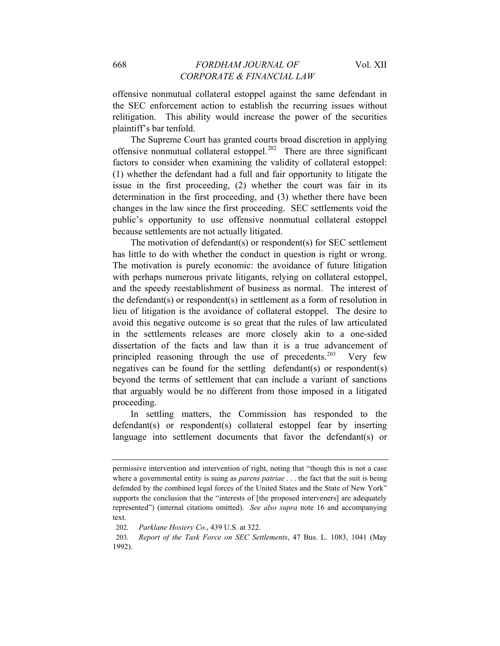offensive nonmutual collateral estoppel against the same defendant in the SEC enforcement action to establish the recurring issues without relitigation. This ability would increase the power of the securities plaintiff's bar tenfold.

The Supreme Court has granted courts broad discretion in applying offensive nonmutual collateral estoppel.<sup>[202](#page-42-0)</sup> There are three significant factors to consider when examining the validity of collateral estoppel: (1) whether the defendant had a full and fair opportunity to litigate the issue in the first proceeding, (2) whether the court was fair in its determination in the first proceeding, and (3) whether there have been changes in the law since the first proceeding. SEC settlements void the public's opportunity to use offensive nonmutual collateral estoppel because settlements are not actually litigated.

The motivation of defendant(s) or respondent(s) for SEC settlement has little to do with whether the conduct in question is right or wrong. The motivation is purely economic: the avoidance of future litigation with perhaps numerous private litigants, relying on collateral estoppel, and the speedy reestablishment of business as normal. The interest of the defendant(s) or respondent(s) in settlement as a form of resolution in lieu of litigation is the avoidance of collateral estoppel. The desire to avoid this negative outcome is so great that the rules of law articulated in the settlements releases are more closely akin to a one-sided dissertation of the facts and law than it is a true advancement of principled reasoning through the use of precedents.<sup>[203](#page-42-1)</sup> Very few negatives can be found for the settling defendant(s) or respondent(s) beyond the terms of settlement that can include a variant of sanctions that arguably would be no different from those imposed in a litigated proceeding.

In settling matters, the Commission has responded to the defendant(s) or respondent(s) collateral estoppel fear by inserting language into settlement documents that favor the defendant(s) or

permissive intervention and intervention of right, noting that "though this is not a case where a governmental entity is suing as *parens patriae* . . . the fact that the suit is being defended by the combined legal forces of the United States and the State of New York" supports the conclusion that the "interests of [the proposed interveners] are adequately represented") (internal citations omitted). *See also supra* note 16 and accompanying text.

<sup>202</sup>*. Parklane Hosiery Co.*, 439 U.S. at 322.

<span id="page-42-1"></span><span id="page-42-0"></span><sup>203</sup>*. Report of the Task Force on SEC Settlements*, 47 Bus. L. 1083, 1041 (May 1992).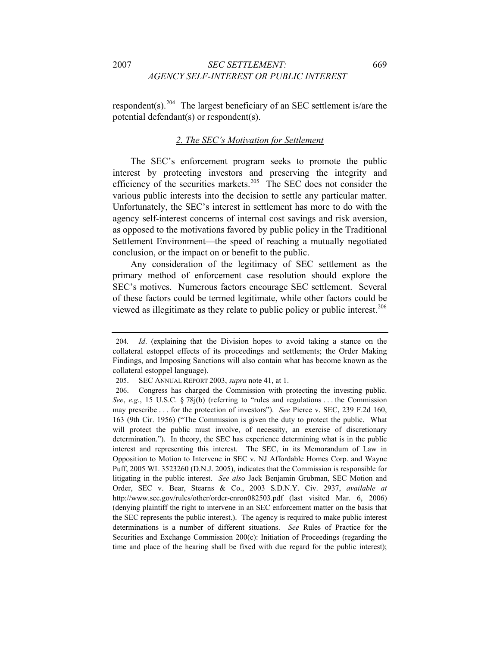respondent(s).[204](#page-43-0) The largest beneficiary of an SEC settlement is/are the potential defendant(s) or respondent(s).

#### *2. The SEC's Motivation for Settlement*

The SEC's enforcement program seeks to promote the public interest by protecting investors and preserving the integrity and efficiency of the securities markets.<sup>[205](#page-43-1)</sup> The SEC does not consider the various public interests into the decision to settle any particular matter. Unfortunately, the SEC's interest in settlement has more to do with the agency self-interest concerns of internal cost savings and risk aversion, as opposed to the motivations favored by public policy in the Traditional Settlement Environment—the speed of reaching a mutually negotiated conclusion, or the impact on or benefit to the public.

Any consideration of the legitimacy of SEC settlement as the primary method of enforcement case resolution should explore the SEC's motives. Numerous factors encourage SEC settlement. Several of these factors could be termed legitimate, while other factors could be viewed as illegitimate as they relate to public policy or public interest.<sup>[206](#page-43-2)</sup>

<span id="page-43-0"></span><sup>204</sup>*. Id*. (explaining that the Division hopes to avoid taking a stance on the collateral estoppel effects of its proceedings and settlements; the Order Making Findings, and Imposing Sanctions will also contain what has become known as the collateral estoppel language).

<sup>205.</sup> SEC ANNUAL REPORT 2003, *supra* note 41, at 1.

<span id="page-43-2"></span><span id="page-43-1"></span><sup>206.</sup> Congress has charged the Commission with protecting the investing public. *See*, *e.g.*, 15 U.S.C. § 78j(b) (referring to "rules and regulations . . . the Commission may prescribe . . . for the protection of investors"). *See* Pierce v. SEC, 239 F.2d 160, 163 (9th Cir. 1956) ("The Commission is given the duty to protect the public. What will protect the public must involve, of necessity, an exercise of discretionary determination."). In theory, the SEC has experience determining what is in the public interest and representing this interest. The SEC, in its Memorandum of Law in Opposition to Motion to Intervene in SEC v. NJ Affordable Homes Corp. and Wayne Puff, 2005 WL 3523260 (D.N.J. 2005), indicates that the Commission is responsible for litigating in the public interest. *See als*o Jack Benjamin Grubman, SEC Motion and Order, SEC v. Bear, Stearns & Co., 2003 S.D.N.Y. Civ. 2937, *available at* http://www.sec.gov/rules/other/order-enron082503.pdf (last visited Mar. 6, 2006) (denying plaintiff the right to intervene in an SEC enforcement matter on the basis that the SEC represents the public interest.). The agency is required to make public interest determinations is a number of different situations. *See* Rules of Practice for the Securities and Exchange Commission 200(c): Initiation of Proceedings (regarding the time and place of the hearing shall be fixed with due regard for the public interest);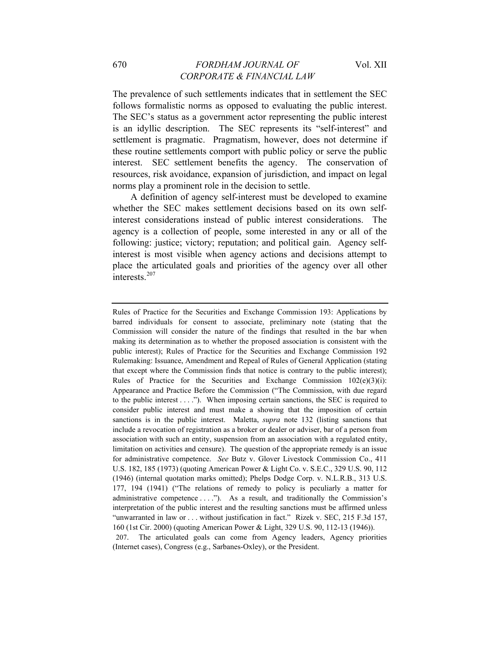The prevalence of such settlements indicates that in settlement the SEC follows formalistic norms as opposed to evaluating the public interest. The SEC's status as a government actor representing the public interest is an idyllic description. The SEC represents its "self-interest" and settlement is pragmatic. Pragmatism, however, does not determine if these routine settlements comport with public policy or serve the public interest. SEC settlement benefits the agency. The conservation of resources, risk avoidance, expansion of jurisdiction, and impact on legal norms play a prominent role in the decision to settle.

A definition of agency self-interest must be developed to examine whether the SEC makes settlement decisions based on its own selfinterest considerations instead of public interest considerations. The agency is a collection of people, some interested in any or all of the following: justice; victory; reputation; and political gain. Agency selfinterest is most visible when agency actions and decisions attempt to place the articulated goals and priorities of the agency over all other interests.[207](#page-44-0)

Rules of Practice for the Securities and Exchange Commission 193: Applications by barred individuals for consent to associate, preliminary note (stating that the Commission will consider the nature of the findings that resulted in the bar when making its determination as to whether the proposed association is consistent with the public interest); Rules of Practice for the Securities and Exchange Commission 192 Rulemaking: Issuance, Amendment and Repeal of Rules of General Application (stating that except where the Commission finds that notice is contrary to the public interest); Rules of Practice for the Securities and Exchange Commission  $102(e)(3)(i)$ : Appearance and Practice Before the Commission ("The Commission, with due regard to the public interest . . . ."). When imposing certain sanctions, the SEC is required to consider public interest and must make a showing that the imposition of certain sanctions is in the public interest. Maletta, *supra* note 132 (listing sanctions that include a revocation of registration as a broker or dealer or adviser, bar of a person from association with such an entity, suspension from an association with a regulated entity, limitation on activities and censure). The question of the appropriate remedy is an issue for administrative competence. *See* Butz v. Glover Livestock Commission Co., 411 U.S. 182, 185 (1973) (quoting American Power & Light Co. v. S.E.C., 329 U.S. 90, 112 (1946) (internal quotation marks omitted); Phelps Dodge Corp. v. N.L.R.B., 313 U.S. 177, 194 (1941) ("The relations of remedy to policy is peculiarly a matter for administrative competence . . . ."). As a result, and traditionally the Commission's interpretation of the public interest and the resulting sanctions must be affirmed unless "unwarranted in law or . . . without justification in fact." Rizek v. SEC, 215 F.3d 157, 160 (1st Cir. 2000) (quoting American Power & Light, 329 U.S. 90, 112-13 (1946)).

<span id="page-44-0"></span><sup>207.</sup> The articulated goals can come from Agency leaders, Agency priorities (Internet cases), Congress (e.g., Sarbanes-Oxley), or the President.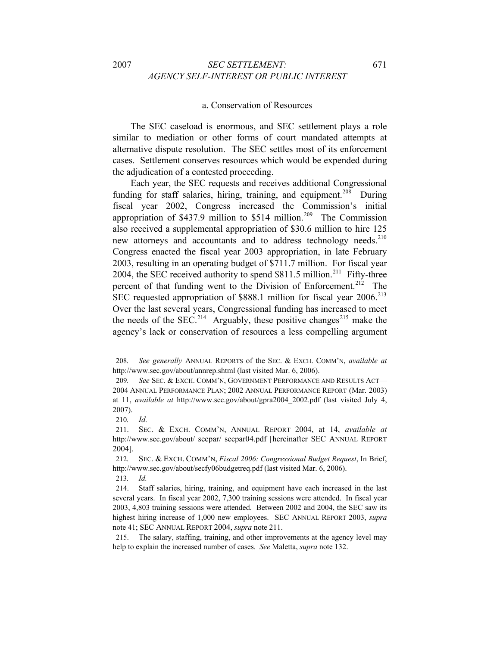# 2007 *SEC SETTLEMENT:* 671 *AGENCY SELF-INTEREST OR PUBLIC INTEREST*

#### a. Conservation of Resources

The SEC caseload is enormous, and SEC settlement plays a role similar to mediation or other forms of court mandated attempts at alternative dispute resolution. The SEC settles most of its enforcement cases. Settlement conserves resources which would be expended during the adjudication of a contested proceeding.

Each year, the SEC requests and receives additional Congressional funding for staff salaries, hiring, training, and equipment.<sup>[208](#page-45-0)</sup> During fiscal year 2002, Congress increased the Commission's initial appropriation of \$437.9 million to  $$514$  million.<sup>[209](#page-45-1)</sup> The Commission also received a supplemental appropriation of \$30.6 million to hire 125 new attorneys and accountants and to address technology needs.<sup>[210](#page-45-2)</sup> Congress enacted the fiscal year 2003 appropriation, in late February 2003, resulting in an operating budget of \$711.7 million. For fiscal year 2004, the SEC received authority to spend  $$811.5$  million.<sup>[211](#page-45-3)</sup> Fifty-three percent of that funding went to the Division of Enforcement.<sup>[212](#page-45-4)</sup> The SEC requested appropriation of \$888.1 million for fiscal year 2006.<sup>[213](#page-45-5)</sup> Over the last several years, Congressional funding has increased to meet the needs of the SEC.<sup>[214](#page-45-6)</sup> Arguably, these positive changes<sup>[215](#page-45-7)</sup> make the agency's lack or conservation of resources a less compelling argument

<span id="page-45-0"></span><sup>208</sup>*. See generally* ANNUAL REPORTS of the SEC. & EXCH. COMM'N, *available at* http://www.sec.gov/about/annrep.shtml (last visited Mar. 6, 2006).

<span id="page-45-1"></span><sup>209</sup>*. See* SEC. & EXCH. COMM'N, GOVERNMENT PERFORMANCE AND RESULTS ACT— 2004 ANNUAL PERFORMANCE PLAN; 2002 ANNUAL PERFORMANCE REPORT (Mar. 2003) at 11, *available at* http://www.sec.gov/about/gpra2004\_2002.pdf (last visited July 4, 2007).

<sup>210</sup>*. Id.*

<span id="page-45-3"></span><span id="page-45-2"></span><sup>211.</sup> SEC. & EXCH. COMM'N, ANNUAL REPORT 2004, at 14, *available at* http://www.sec.gov/about/ secpar/ secpar04.pdf [hereinafter SEC ANNUAL REPORT 2004].

<span id="page-45-4"></span><sup>212</sup>*.* SEC. & EXCH. COMM'N, *Fiscal 2006: Congressional Budget Request*, In Brief, http://www.sec.gov/about/secfy06budgetreq.pdf (last visited Mar. 6, 2006).

<sup>213</sup>*. Id.*

<span id="page-45-6"></span><span id="page-45-5"></span><sup>214.</sup> Staff salaries, hiring, training, and equipment have each increased in the last several years. In fiscal year 2002, 7,300 training sessions were attended. In fiscal year 2003, 4,803 training sessions were attended. Between 2002 and 2004, the SEC saw its highest hiring increase of 1,000 new employees. SEC ANNUAL REPORT 2003, *supra* note 41; SEC ANNUAL REPORT 2004, *supra* note 211.

<span id="page-45-7"></span><sup>215.</sup> The salary, staffing, training, and other improvements at the agency level may help to explain the increased number of cases. *See* Maletta, *supra* note 132.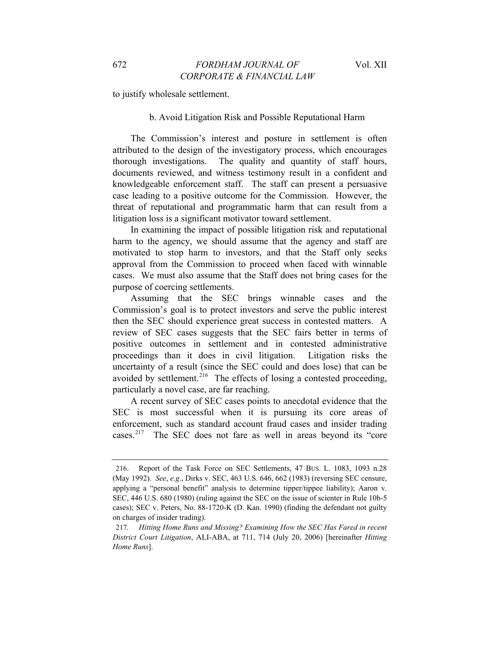to justify wholesale settlement.

#### b. Avoid Litigation Risk and Possible Reputational Harm

The Commission's interest and posture in settlement is often attributed to the design of the investigatory process, which encourages thorough investigations. The quality and quantity of staff hours, documents reviewed, and witness testimony result in a confident and knowledgeable enforcement staff. The staff can present a persuasive case leading to a positive outcome for the Commission. However, the threat of reputational and programmatic harm that can result from a litigation loss is a significant motivator toward settlement.

In examining the impact of possible litigation risk and reputational harm to the agency, we should assume that the agency and staff are motivated to stop harm to investors, and that the Staff only seeks approval from the Commission to proceed when faced with winnable cases. We must also assume that the Staff does not bring cases for the purpose of coercing settlements.

Assuming that the SEC brings winnable cases and the Commission's goal is to protect investors and serve the public interest then the SEC should experience great success in contested matters. A review of SEC cases suggests that the SEC fairs better in terms of positive outcomes in settlement and in contested administrative proceedings than it does in civil litigation. Litigation risks the uncertainty of a result (since the SEC could and does lose) that can be avoided by settlement.<sup>[216](#page-46-0)</sup> The effects of losing a contested proceeding, particularly a novel case, are far reaching.

A recent survey of SEC cases points to anecdotal evidence that the SEC is most successful when it is pursuing its core areas of enforcement, such as standard account fraud cases and insider trading cases.[217](#page-46-1) The SEC does not fare as well in areas beyond its "core

<span id="page-46-0"></span><sup>216.</sup> Report of the Task Force on SEC Settlements, 47 BUS. L. 1083, 1093 n.28 (May 1992). *See*, *e.g*., Dirks v. SEC, 463 U.S. 646, 662 (1983) (reversing SEC censure, applying a "personal benefit" analysis to determine tipper/tippee liability); Aaron v. SEC, 446 U.S. 680 (1980) (ruling against the SEC on the issue of scienter in Rule 10b-5 cases); SEC v. Peters, No. 88-1720-K (D. Kan. 1990) (finding the defendant not guilty on charges of insider trading).

<span id="page-46-1"></span><sup>217</sup>*. Hitting Home Runs and Missing? Examining How the SEC Has Fared in recent District Court Litigation*, ALI-ABA, at 711, 714 (July 20, 2006) [hereinafter *Hitting Home Runs*].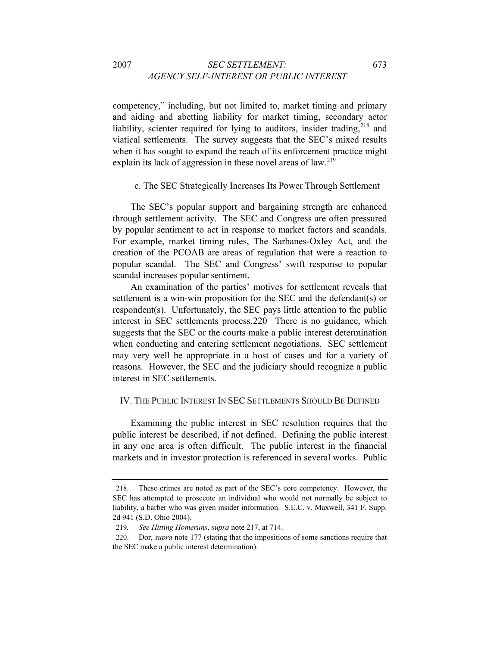competency," including, but not limited to, market timing and primary and aiding and abetting liability for market timing, secondary actor liability, scienter required for lying to auditors, insider trading,  $218$  and viatical settlements. The survey suggests that the SEC's mixed results when it has sought to expand the reach of its enforcement practice might explain its lack of aggression in these novel areas of law.<sup>[219](#page-47-1)</sup>

c. The SEC Strategically Increases Its Power Through Settlement

The SEC's popular support and bargaining strength are enhanced through settlement activity. The SEC and Congress are often pressured by popular sentiment to act in response to market factors and scandals. For example, market timing rules, The Sarbanes-Oxley Act, and the creation of the PCOAB are areas of regulation that were a reaction to popular scandal. The SEC and Congress' swift response to popular scandal increases popular sentiment.

An examination of the parties' motives for settlement reveals that settlement is a win-win proposition for the SEC and the defendant(s) or respondent(s). Unfortunately, the SEC pays little attention to the public interest in SEC settlements process.[220](#page-47-2) There is no guidance, which suggests that the SEC or the courts make a public interest determination when conducting and entering settlement negotiations. SEC settlement may very well be appropriate in a host of cases and for a variety of reasons. However, the SEC and the judiciary should recognize a public interest in SEC settlements.

# IV. THE PUBLIC INTEREST IN SEC SETTLEMENTS SHOULD BE DEFINED

Examining the public interest in SEC resolution requires that the public interest be described, if not defined. Defining the public interest in any one area is often difficult. The public interest in the financial markets and in investor protection is referenced in several works. Public

<span id="page-47-0"></span><sup>218.</sup> These crimes are noted as part of the SEC's core competency. However, the SEC has attempted to prosecute an individual who would not normally be subject to liability, a barber who was given insider information. S.E.C. v. Maxwell, 341 F. Supp. 2d 941 (S.D. Ohio 2004).

<sup>219</sup>*. See Hitting Homeruns*, *supra* note 217, at 714.

<span id="page-47-2"></span><span id="page-47-1"></span><sup>220.</sup> Dor, *supra* note 177 (stating that the impositions of some sanctions require that the SEC make a public interest determination).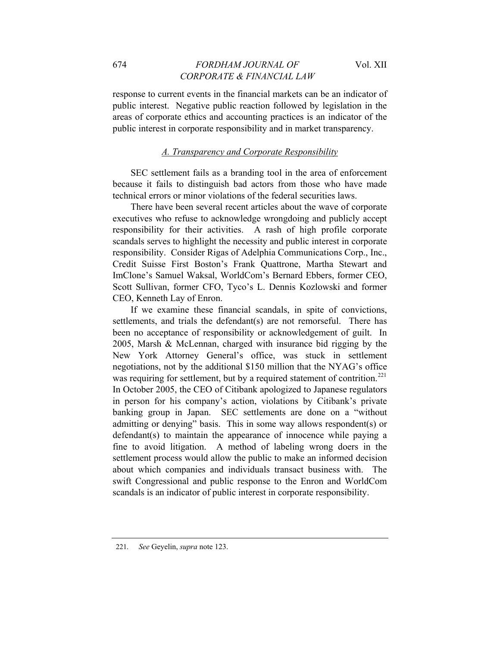response to current events in the financial markets can be an indicator of public interest. Negative public reaction followed by legislation in the areas of corporate ethics and accounting practices is an indicator of the public interest in corporate responsibility and in market transparency.

# *A. Transparency and Corporate Responsibility*

SEC settlement fails as a branding tool in the area of enforcement because it fails to distinguish bad actors from those who have made technical errors or minor violations of the federal securities laws.

There have been several recent articles about the wave of corporate executives who refuse to acknowledge wrongdoing and publicly accept responsibility for their activities. A rash of high profile corporate scandals serves to highlight the necessity and public interest in corporate responsibility. Consider Rigas of Adelphia Communications Corp., Inc., Credit Suisse First Boston's Frank Quattrone, Martha Stewart and ImClone's Samuel Waksal, WorldCom's Bernard Ebbers, former CEO, Scott Sullivan, former CFO, Tyco's L. Dennis Kozlowski and former CEO, Kenneth Lay of Enron.

<span id="page-48-0"></span>If we examine these financial scandals, in spite of convictions, settlements, and trials the defendant(s) are not remorseful. There has been no acceptance of responsibility or acknowledgement of guilt. In 2005, Marsh & McLennan, charged with insurance bid rigging by the New York Attorney General's office, was stuck in settlement negotiations, not by the additional \$150 million that the NYAG's office was requiring for settlement, but by a required statement of contrition.<sup>[221](#page-48-0)</sup> In October 2005, the CEO of Citibank apologized to Japanese regulators in person for his company's action, violations by Citibank's private banking group in Japan. SEC settlements are done on a "without admitting or denying" basis. This in some way allows respondent(s) or defendant(s) to maintain the appearance of innocence while paying a fine to avoid litigation. A method of labeling wrong doers in the settlement process would allow the public to make an informed decision about which companies and individuals transact business with. The swift Congressional and public response to the Enron and WorldCom scandals is an indicator of public interest in corporate responsibility.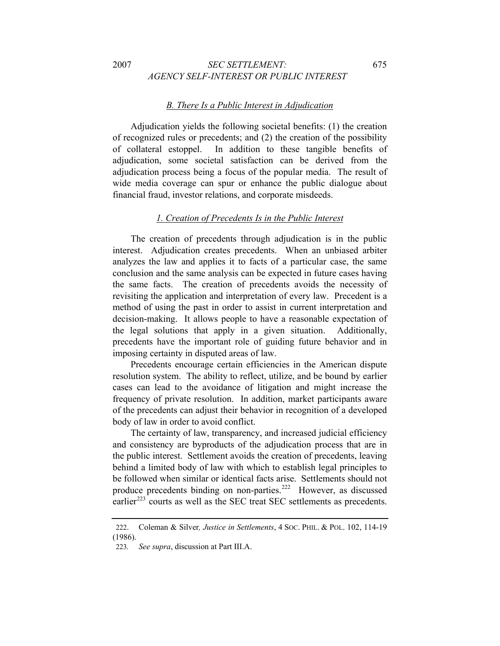# 2007 *SEC SETTLEMENT:* 675 *AGENCY SELF-INTEREST OR PUBLIC INTEREST*

#### *B. There Is a Public Interest in Adjudication*

Adjudication yields the following societal benefits: (1) the creation of recognized rules or precedents; and (2) the creation of the possibility of collateral estoppel. In addition to these tangible benefits of adjudication, some societal satisfaction can be derived from the adjudication process being a focus of the popular media. The result of wide media coverage can spur or enhance the public dialogue about financial fraud, investor relations, and corporate misdeeds.

#### *1. Creation of Precedents Is in the Public Interest*

The creation of precedents through adjudication is in the public interest. Adjudication creates precedents. When an unbiased arbiter analyzes the law and applies it to facts of a particular case, the same conclusion and the same analysis can be expected in future cases having the same facts. The creation of precedents avoids the necessity of revisiting the application and interpretation of every law. Precedent is a method of using the past in order to assist in current interpretation and decision-making. It allows people to have a reasonable expectation of the legal solutions that apply in a given situation. Additionally, precedents have the important role of guiding future behavior and in imposing certainty in disputed areas of law.

Precedents encourage certain efficiencies in the American dispute resolution system. The ability to reflect, utilize, and be bound by earlier cases can lead to the avoidance of litigation and might increase the frequency of private resolution. In addition, market participants aware of the precedents can adjust their behavior in recognition of a developed body of law in order to avoid conflict.

The certainty of law, transparency, and increased judicial efficiency and consistency are byproducts of the adjudication process that are in the public interest. Settlement avoids the creation of precedents, leaving behind a limited body of law with which to establish legal principles to be followed when similar or identical facts arise. Settlements should not produce precedents binding on non-parties.<sup>[222](#page-49-0)</sup> However, as discussed earlier<sup>223</sup> courts as well as the SEC treat SEC settlements as precedents.

<span id="page-49-1"></span><span id="page-49-0"></span><sup>222.</sup> Coleman & Silver*, Justice in Settlements*, 4 SOC. PHIL. & POL. 102, 114-19 (1986).

<sup>223</sup>*. See supra*, discussion at Part III.A.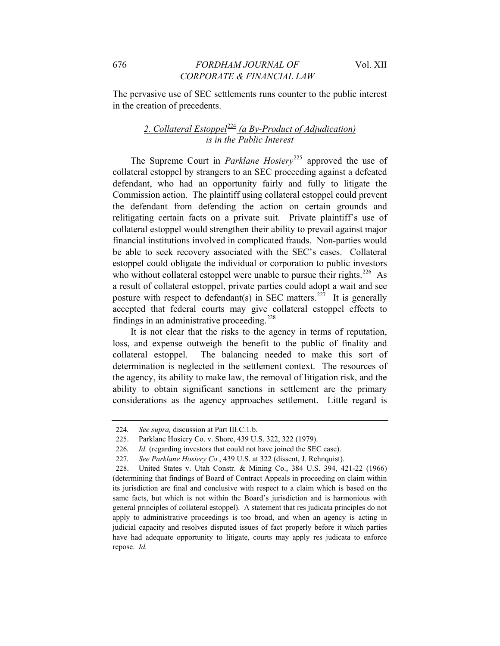The pervasive use of SEC settlements runs counter to the public interest in the creation of precedents.

# 2. Collateral Estoppel<sup>[224](#page-50-0)</sup> (a By-Product of Adjudication) *is in the Public Interest*

The Supreme Court in *Parklane Hosiery*<sup>[225](#page-50-1)</sup> approved the use of collateral estoppel by strangers to an SEC proceeding against a defeated defendant, who had an opportunity fairly and fully to litigate the Commission action. The plaintiff using collateral estoppel could prevent the defendant from defending the action on certain grounds and relitigating certain facts on a private suit. Private plaintiff's use of collateral estoppel would strengthen their ability to prevail against major financial institutions involved in complicated frauds. Non-parties would be able to seek recovery associated with the SEC's cases. Collateral estoppel could obligate the individual or corporation to public investors who without collateral estoppel were unable to pursue their rights.<sup>[226](#page-50-2)</sup> As a result of collateral estoppel, private parties could adopt a wait and see posture with respect to defendant(s) in SEC matters.<sup>[227](#page-50-3)</sup> It is generally accepted that federal courts may give collateral estoppel effects to findings in an administrative proceeding.<sup>[228](#page-50-4)</sup>

It is not clear that the risks to the agency in terms of reputation, loss, and expense outweigh the benefit to the public of finality and collateral estoppel. The balancing needed to make this sort of determination is neglected in the settlement context. The resources of the agency, its ability to make law, the removal of litigation risk, and the ability to obtain significant sanctions in settlement are the primary considerations as the agency approaches settlement. Little regard is

<span id="page-50-0"></span><sup>224</sup>*. See supra,* discussion at Part III.C.1.b.

<span id="page-50-1"></span><sup>225.</sup> Parklane Hosiery Co. v. Shore, 439 U.S. 322, 322 (1979).

<sup>226</sup>*. Id.* (regarding investors that could not have joined the SEC case).

<sup>227</sup>*. See Parklane Hosiery Co.*, 439 U.S. at 322 (dissent, J. Rehnquist).

<span id="page-50-4"></span><span id="page-50-3"></span><span id="page-50-2"></span><sup>228.</sup> United States v. Utah Constr. & Mining Co., 384 U.S. 394, 421-22 (1966) (determining that findings of Board of Contract Appeals in proceeding on claim within its jurisdiction are final and conclusive with respect to a claim which is based on the same facts, but which is not within the Board's jurisdiction and is harmonious with general principles of collateral estoppel). A statement that res judicata principles do not apply to administrative proceedings is too broad, and when an agency is acting in judicial capacity and resolves disputed issues of fact properly before it which parties have had adequate opportunity to litigate, courts may apply res judicata to enforce repose. *Id.*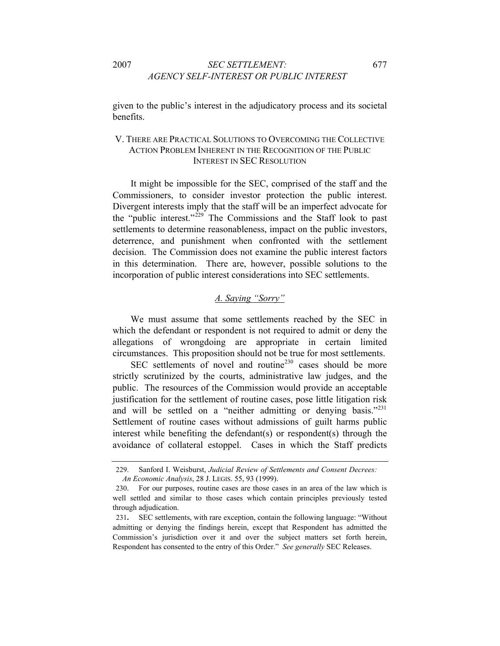given to the public's interest in the adjudicatory process and its societal benefits.

# V. THERE ARE PRACTICAL SOLUTIONS TO OVERCOMING THE COLLECTIVE ACTION PROBLEM INHERENT IN THE RECOGNITION OF THE PUBLIC INTEREST IN SEC RESOLUTION

It might be impossible for the SEC, comprised of the staff and the Commissioners, to consider investor protection the public interest. Divergent interests imply that the staff will be an imperfect advocate for the "public interest."[229](#page-51-0) The Commissions and the Staff look to past settlements to determine reasonableness, impact on the public investors, deterrence, and punishment when confronted with the settlement decision. The Commission does not examine the public interest factors in this determination. There are, however, possible solutions to the incorporation of public interest considerations into SEC settlements.

# *A. Saying "Sorry"*

We must assume that some settlements reached by the SEC in which the defendant or respondent is not required to admit or deny the allegations of wrongdoing are appropriate in certain limited circumstances. This proposition should not be true for most settlements.

SEC settlements of novel and routine<sup>[230](#page-51-1)</sup> cases should be more strictly scrutinized by the courts, administrative law judges, and the public. The resources of the Commission would provide an acceptable justification for the settlement of routine cases, pose little litigation risk and will be settled on a "neither admitting or denying basis."<sup>[231](#page-51-2)</sup> Settlement of routine cases without admissions of guilt harms public interest while benefiting the defendant(s) or respondent(s) through the avoidance of collateral estoppel. Cases in which the Staff predicts

<sup>229.</sup> Sanford I. Weisburst, *Judicial Review of Settlements and Consent Decrees: An Economic Analysis*, 28 J. LEGIS. 55, 93 (1999).

<span id="page-51-1"></span><span id="page-51-0"></span><sup>230.</sup> For our purposes, routine cases are those cases in an area of the law which is well settled and similar to those cases which contain principles previously tested through adjudication.

<span id="page-51-2"></span><sup>231</sup>**.** SEC settlements, with rare exception, contain the following language: "Without admitting or denying the findings herein, except that Respondent has admitted the Commission's jurisdiction over it and over the subject matters set forth herein, Respondent has consented to the entry of this Order." *See generally* SEC Releases.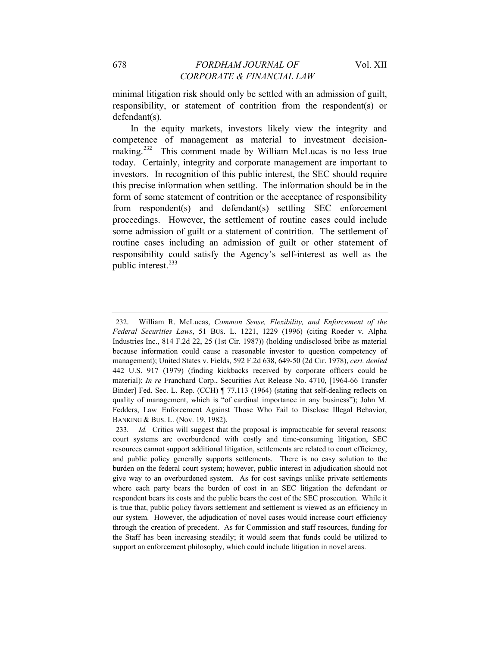minimal litigation risk should only be settled with an admission of guilt, responsibility, or statement of contrition from the respondent(s) or defendant(s).

In the equity markets, investors likely view the integrity and competence of management as material to investment decision-making.<sup>[232](#page-52-0)</sup> This comment made by William McLucas is no less true today. Certainly, integrity and corporate management are important to investors. In recognition of this public interest, the SEC should require this precise information when settling. The information should be in the form of some statement of contrition or the acceptance of responsibility from respondent(s) and defendant(s) settling SEC enforcement proceedings. However, the settlement of routine cases could include some admission of guilt or a statement of contrition. The settlement of routine cases including an admission of guilt or other statement of responsibility could satisfy the Agency's self-interest as well as the public interest.<sup>[233](#page-52-1)</sup>

<span id="page-52-0"></span><sup>232.</sup> William R. McLucas, *Common Sense, Flexibility, and Enforcement of the Federal Securities Laws*, 51 BUS. L. 1221, 1229 (1996) (citing Roeder v. Alpha Industries Inc., 814 F.2d 22, 25 (1st Cir. 1987)) (holding undisclosed bribe as material because information could cause a reasonable investor to question competency of management); United States v. Fields, 592 F.2d 638, 649-50 (2d Cir. 1978), *cert. denied* 442 U.S. 917 (1979) (finding kickbacks received by corporate officers could be material); *In re* Franchard Corp., Securities Act Release No. 4710, [1964-66 Transfer Binder] Fed. Sec. L. Rep. (CCH) ¶ 77,113 (1964) (stating that self-dealing reflects on quality of management, which is "of cardinal importance in any business"); John M. Fedders, Law Enforcement Against Those Who Fail to Disclose Illegal Behavior, BANKING & BUS. L. (Nov. 19, 1982).

<span id="page-52-1"></span><sup>233</sup>*. Id.* Critics will suggest that the proposal is impracticable for several reasons: court systems are overburdened with costly and time-consuming litigation, SEC resources cannot support additional litigation, settlements are related to court efficiency, and public policy generally supports settlements. There is no easy solution to the burden on the federal court system; however, public interest in adjudication should not give way to an overburdened system. As for cost savings unlike private settlements where each party bears the burden of cost in an SEC litigation the defendant or respondent bears its costs and the public bears the cost of the SEC prosecution. While it is true that, public policy favors settlement and settlement is viewed as an efficiency in our system. However, the adjudication of novel cases would increase court efficiency through the creation of precedent. As for Commission and staff resources, funding for the Staff has been increasing steadily; it would seem that funds could be utilized to support an enforcement philosophy, which could include litigation in novel areas.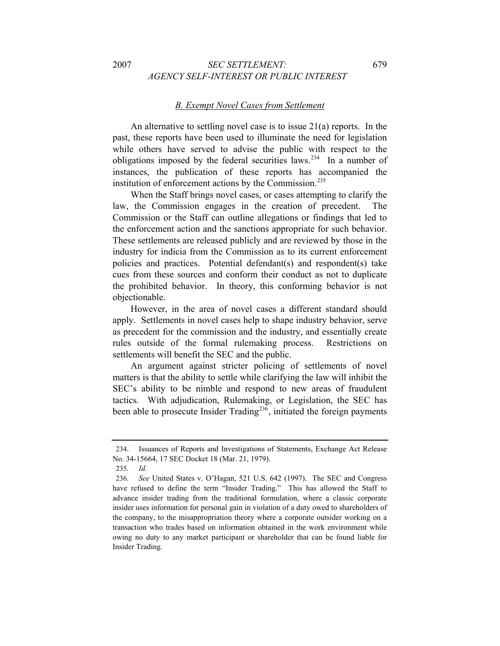# 2007 *SEC SETTLEMENT:* 679 *AGENCY SELF-INTEREST OR PUBLIC INTEREST*

#### *B. Exempt Novel Cases from Settlement*

An alternative to settling novel case is to issue 21(a) reports. In the past, these reports have been used to illuminate the need for legislation while others have served to advise the public with respect to the obligations imposed by the federal securities laws.<sup>[234](#page-53-0)</sup> In a number of instances, the publication of these reports has accompanied the institution of enforcement actions by the Commission.<sup>[235](#page-53-1)</sup>

When the Staff brings novel cases, or cases attempting to clarify the law, the Commission engages in the creation of precedent. The Commission or the Staff can outline allegations or findings that led to the enforcement action and the sanctions appropriate for such behavior. These settlements are released publicly and are reviewed by those in the industry for indicia from the Commission as to its current enforcement policies and practices. Potential defendant(s) and respondent(s) take cues from these sources and conform their conduct as not to duplicate the prohibited behavior. In theory, this conforming behavior is not objectionable.

However, in the area of novel cases a different standard should apply. Settlements in novel cases help to shape industry behavior, serve as precedent for the commission and the industry, and essentially create rules outside of the formal rulemaking process. Restrictions on settlements will benefit the SEC and the public.

An argument against stricter policing of settlements of novel matters is that the ability to settle while clarifying the law will inhibit the SEC's ability to be nimble and respond to new areas of fraudulent tactics. With adjudication, Rulemaking, or Legislation, the SEC has been able to prosecute Insider Trading<sup>[236](#page-53-2)</sup>, initiated the foreign payments

<span id="page-53-0"></span><sup>234.</sup> Issuances of Reports and Investigations of Statements, Exchange Act Release No. 34-15664, 17 SEC Docket 18 (Mar. 21, 1979).

<sup>235</sup>*. Id.*

<span id="page-53-2"></span><span id="page-53-1"></span><sup>236</sup>*. See* United States v. O'Hagan, 521 U.S. 642 (1997). The SEC and Congress have refused to define the term "Insider Trading." This has allowed the Staff to advance insider trading from the traditional formulation, where a classic corporate insider uses information for personal gain in violation of a duty owed to shareholders of the company, to the misappropriation theory where a corporate outsider working on a transaction who trades based on information obtained in the work environment while owing no duty to any market participant or shareholder that can be found liable for Insider Trading.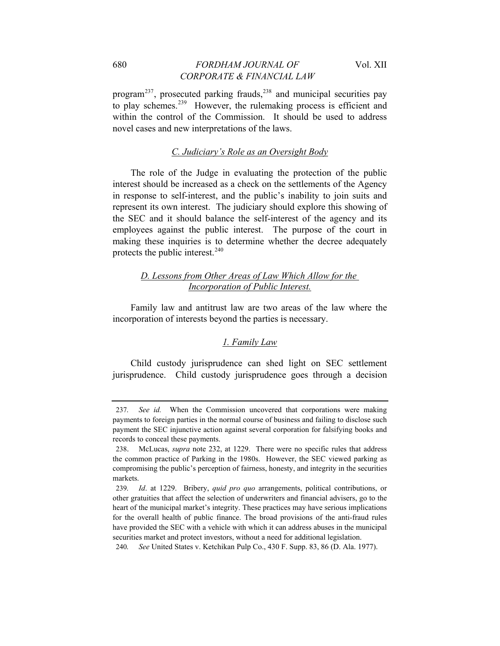program<sup>[237](#page-54-0)</sup>, prosecuted parking frauds,<sup>[238](#page-54-1)</sup> and municipal securities pay to play schemes.<sup>[239](#page-54-2)</sup> However, the rulemaking process is efficient and within the control of the Commission. It should be used to address novel cases and new interpretations of the laws.

# *C. Judiciary's Role as an Oversight Body*

The role of the Judge in evaluating the protection of the public interest should be increased as a check on the settlements of the Agency in response to self-interest, and the public's inability to join suits and represent its own interest. The judiciary should explore this showing of the SEC and it should balance the self-interest of the agency and its employees against the public interest. The purpose of the court in making these inquiries is to determine whether the decree adequately protects the public interest.<sup>[240](#page-54-3)</sup>

# *D. Lessons from Other Areas of Law Which Allow for the Incorporation of Public Interest.*

Family law and antitrust law are two areas of the law where the incorporation of interests beyond the parties is necessary.

#### *1. Family Law*

Child custody jurisprudence can shed light on SEC settlement jurisprudence. Child custody jurisprudence goes through a decision

<span id="page-54-0"></span><sup>237</sup>*. See id.* When the Commission uncovered that corporations were making payments to foreign parties in the normal course of business and failing to disclose such payment the SEC injunctive action against several corporation for falsifying books and records to conceal these payments.

<span id="page-54-1"></span><sup>238.</sup> McLucas, *supra* note 232, at 1229. There were no specific rules that address the common practice of Parking in the 1980s. However, the SEC viewed parking as compromising the public's perception of fairness, honesty, and integrity in the securities markets.

<span id="page-54-2"></span><sup>239</sup>*. Id*. at 1229. Bribery, *quid pro quo* arrangements, political contributions, or other gratuities that affect the selection of underwriters and financial advisers, go to the heart of the municipal market's integrity. These practices may have serious implications for the overall health of public finance. The broad provisions of the anti-fraud rules have provided the SEC with a vehicle with which it can address abuses in the municipal securities market and protect investors, without a need for additional legislation.

<span id="page-54-3"></span><sup>240</sup>*. See* United States v. Ketchikan Pulp Co., 430 F. Supp. 83, 86 (D. Ala. 1977).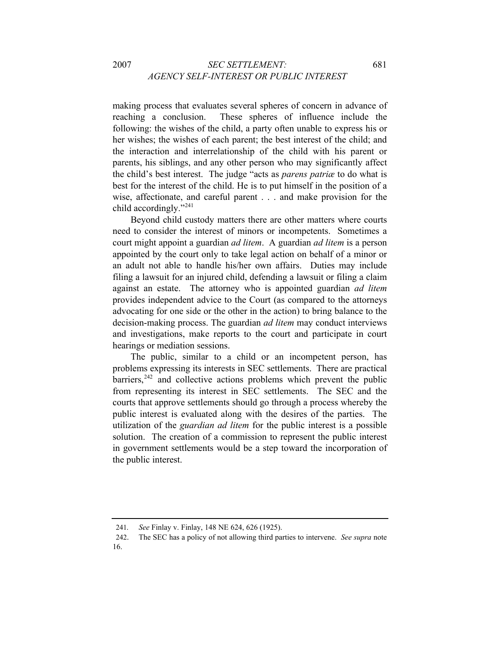making process that evaluates several spheres of concern in advance of reaching a conclusion. These spheres of influence include the following: the wishes of the child, a party often unable to express his or her wishes; the wishes of each parent; the best interest of the child; and the interaction and interrelationship of the child with his parent or parents, his siblings, and any other person who may significantly affect the child's best interest. The judge "acts as *parens patriæ* to do what is best for the interest of the child. He is to put himself in the position of a wise, affectionate, and careful parent . . . and make provision for the child accordingly."[241](#page-55-0)

Beyond child custody matters there are other matters where courts need to consider the interest of minors or incompetents. Sometimes a court might appoint a guardian *ad litem*. A guardian *ad litem* is a person appointed by the court only to take legal action on behalf of a minor or an adult not able to handle his/her own affairs. Duties may include filing a lawsuit for an injured child, defending a lawsuit or filing a claim against an estate. The attorney who is appointed guardian *ad litem* provides independent advice to the Court (as compared to the attorneys advocating for one side or the other in the action) to bring balance to the decision-making process. The guardian *ad litem* may conduct interviews and investigations, make reports to the court and participate in court hearings or mediation sessions.

The public, similar to a child or an incompetent person, has problems expressing its interests in SEC settlements. There are practical barriers, $242$  and collective actions problems which prevent the public from representing its interest in SEC settlements. The SEC and the courts that approve settlements should go through a process whereby the public interest is evaluated along with the desires of the parties. The utilization of the *guardian ad litem* for the public interest is a possible solution. The creation of a commission to represent the public interest in government settlements would be a step toward the incorporation of the public interest.

<sup>241</sup>*. See* Finlay v. Finlay, 148 NE 624, 626 (1925).

<span id="page-55-1"></span><span id="page-55-0"></span><sup>242.</sup> The SEC has a policy of not allowing third parties to intervene. *See supra* note 16.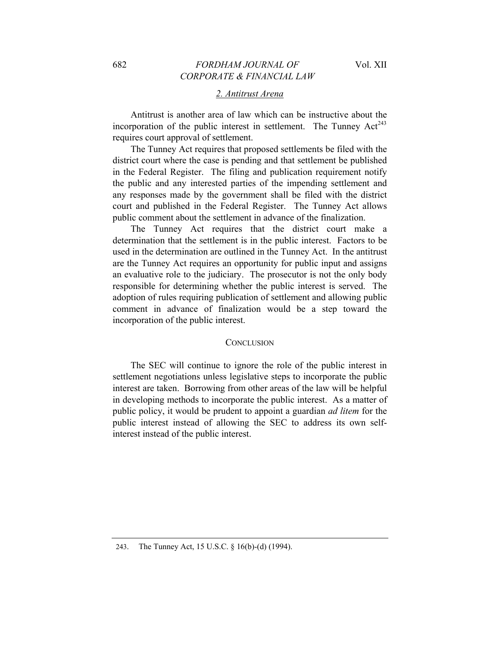# *2. Antitrust Arena*

Antitrust is another area of law which can be instructive about the incorporation of the public interest in settlement. The Tunney  $Act^{243}$  $Act^{243}$  $Act^{243}$ requires court approval of settlement.

The Tunney Act requires that proposed settlements be filed with the district court where the case is pending and that settlement be published in the Federal Register. The filing and publication requirement notify the public and any interested parties of the impending settlement and any responses made by the government shall be filed with the district court and published in the Federal Register. The Tunney Act allows public comment about the settlement in advance of the finalization.

The Tunney Act requires that the district court make a determination that the settlement is in the public interest. Factors to be used in the determination are outlined in the Tunney Act. In the antitrust are the Tunney Act requires an opportunity for public input and assigns an evaluative role to the judiciary. The prosecutor is not the only body responsible for determining whether the public interest is served. The adoption of rules requiring publication of settlement and allowing public comment in advance of finalization would be a step toward the incorporation of the public interest.

#### **CONCLUSION**

The SEC will continue to ignore the role of the public interest in settlement negotiations unless legislative steps to incorporate the public interest are taken. Borrowing from other areas of the law will be helpful in developing methods to incorporate the public interest. As a matter of public policy, it would be prudent to appoint a guardian *ad litem* for the public interest instead of allowing the SEC to address its own selfinterest instead of the public interest.

<span id="page-56-0"></span>243. The Tunney Act, 15 U.S.C. § 16(b)-(d) (1994).